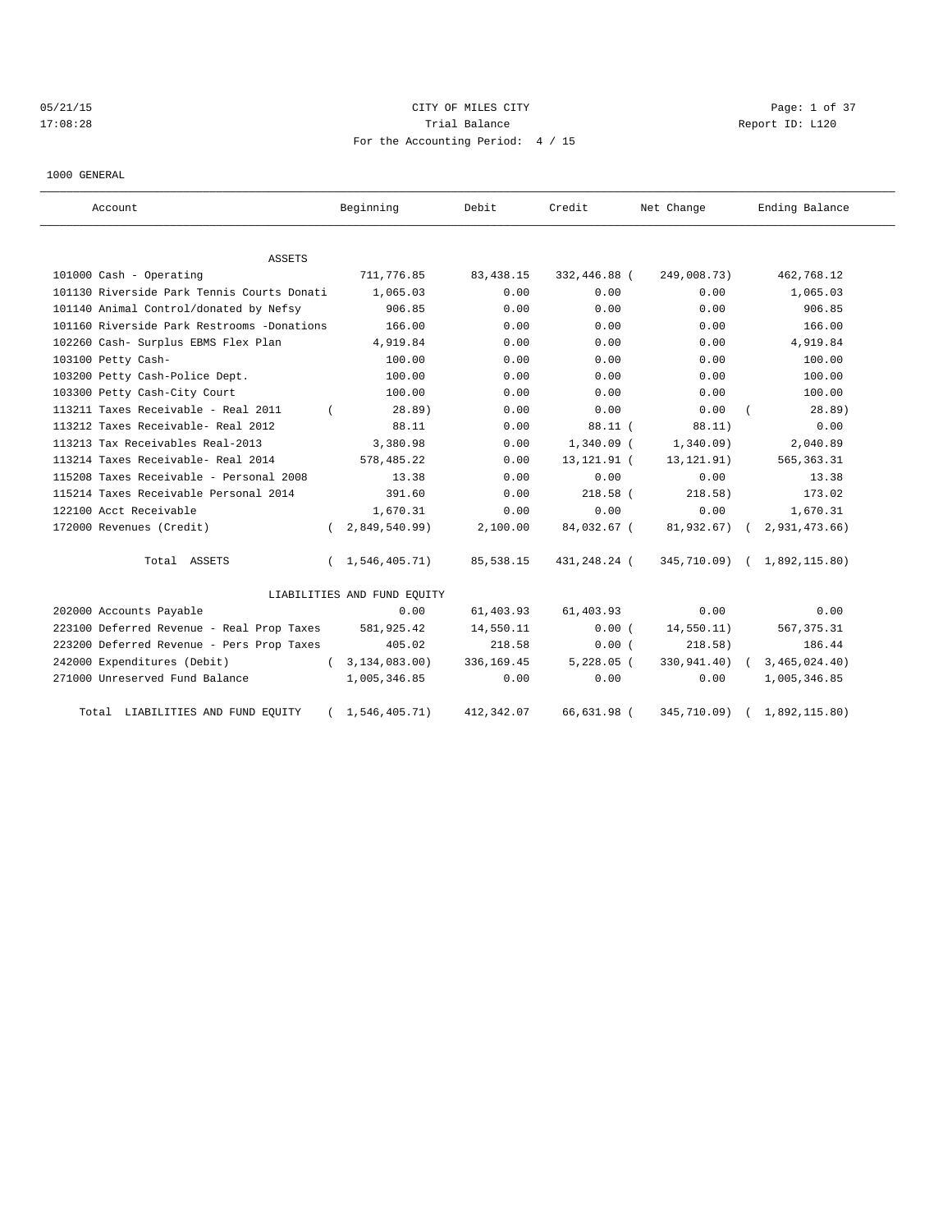# 05/21/15 CITY OF MILES CITY Page: 1 of 37 17:08:28 Report ID: L120 For the Accounting Period: 4 / 15

1000 GENERAL

| Account                                    |            | Beginning                   | Debit      | Credit        | Net Change    |            | Ending Balance              |
|--------------------------------------------|------------|-----------------------------|------------|---------------|---------------|------------|-----------------------------|
| <b>ASSETS</b>                              |            |                             |            |               |               |            |                             |
| 101000 Cash - Operating                    |            | 711,776.85                  | 83,438.15  | 332,446.88 (  | 249,008.73)   |            | 462,768.12                  |
| 101130 Riverside Park Tennis Courts Donati |            | 1,065.03                    | 0.00       | 0.00          | 0.00          |            | 1,065.03                    |
| 101140 Animal Control/donated by Nefsy     |            | 906.85                      | 0.00       | 0.00          | 0.00          |            | 906.85                      |
| 101160 Riverside Park Restrooms -Donations |            | 166.00                      | 0.00       | 0.00          | 0.00          |            | 166.00                      |
| 102260 Cash- Surplus EBMS Flex Plan        |            | 4,919.84                    | 0.00       | 0.00          | 0.00          |            | 4,919.84                    |
| 103100 Petty Cash-                         |            | 100.00                      | 0.00       | 0.00          | 0.00          |            | 100.00                      |
| 103200 Petty Cash-Police Dept.             |            | 100.00                      | 0.00       | 0.00          | 0.00          |            | 100.00                      |
| 103300 Petty Cash-City Court               |            | 100.00                      | 0.00       | 0.00          | 0.00          |            | 100.00                      |
| 113211 Taxes Receivable - Real 2011        |            | 28.89)                      | 0.00       | 0.00          | 0.00          |            | 28.89)                      |
| 113212 Taxes Receivable- Real 2012         |            | 88.11                       | 0.00       | 88.11(        | 88.11)        |            | 0.00                        |
| 113213 Tax Receivables Real-2013           |            | 3,380.98                    | 0.00       | $1,340.09$ (  | 1,340.09)     |            | 2,040.89                    |
| 113214 Taxes Receivable- Real 2014         |            | 578,485.22                  | 0.00       | 13, 121. 91 ( | 13, 121. 91)  |            | 565, 363.31                 |
| 115208 Taxes Receivable - Personal 2008    |            | 13.38                       | 0.00       | 0.00          | 0.00          |            | 13.38                       |
| 115214 Taxes Receivable Personal 2014      |            | 391.60                      | 0.00       | $218.58$ (    | 218.58)       |            | 173.02                      |
| 122100 Acct Receivable                     |            | 1,670.31                    | 0.00       | 0.00          | 0.00          |            | 1,670.31                    |
| 172000 Revenues (Credit)                   | $\sqrt{2}$ | 2,849,540.99                | 2,100.00   | 84,032.67 (   | 81,932.67)    | $\sqrt{2}$ | 2,931,473.66)               |
| Total ASSETS                               | $\left($   | 1,546,405.71)               | 85,538.15  | 431,248.24 (  |               |            | 345,710.09) ( 1,892,115.80) |
|                                            |            | LIABILITIES AND FUND EQUITY |            |               |               |            |                             |
| 202000 Accounts Payable                    |            | 0.00                        | 61,403.93  | 61,403.93     | 0.00          |            | 0.00                        |
| 223100 Deferred Revenue - Real Prop Taxes  |            | 581,925.42                  | 14,550.11  | 0.00(         | 14,550.11)    |            | 567, 375.31                 |
| 223200 Deferred Revenue - Pers Prop Taxes  |            | 405.02                      | 218.58     | 0.00(         | 218.58)       |            | 186.44                      |
| 242000 Expenditures (Debit)                | $\sqrt{2}$ | 3,134,083.00)               | 336,169.45 | $5,228.05$ (  | 330,941.40) ( |            | 3,465,024.40)               |
| 271000 Unreserved Fund Balance             |            | 1,005,346.85                | 0.00       | 0.00          | 0.00          |            | 1,005,346.85                |
| Total LIABILITIES AND FUND EQUITY          |            | 1,546,405.71)               | 412,342.07 | 66,631.98 (   | 345,710.09)   |            | 1,892,115.80)               |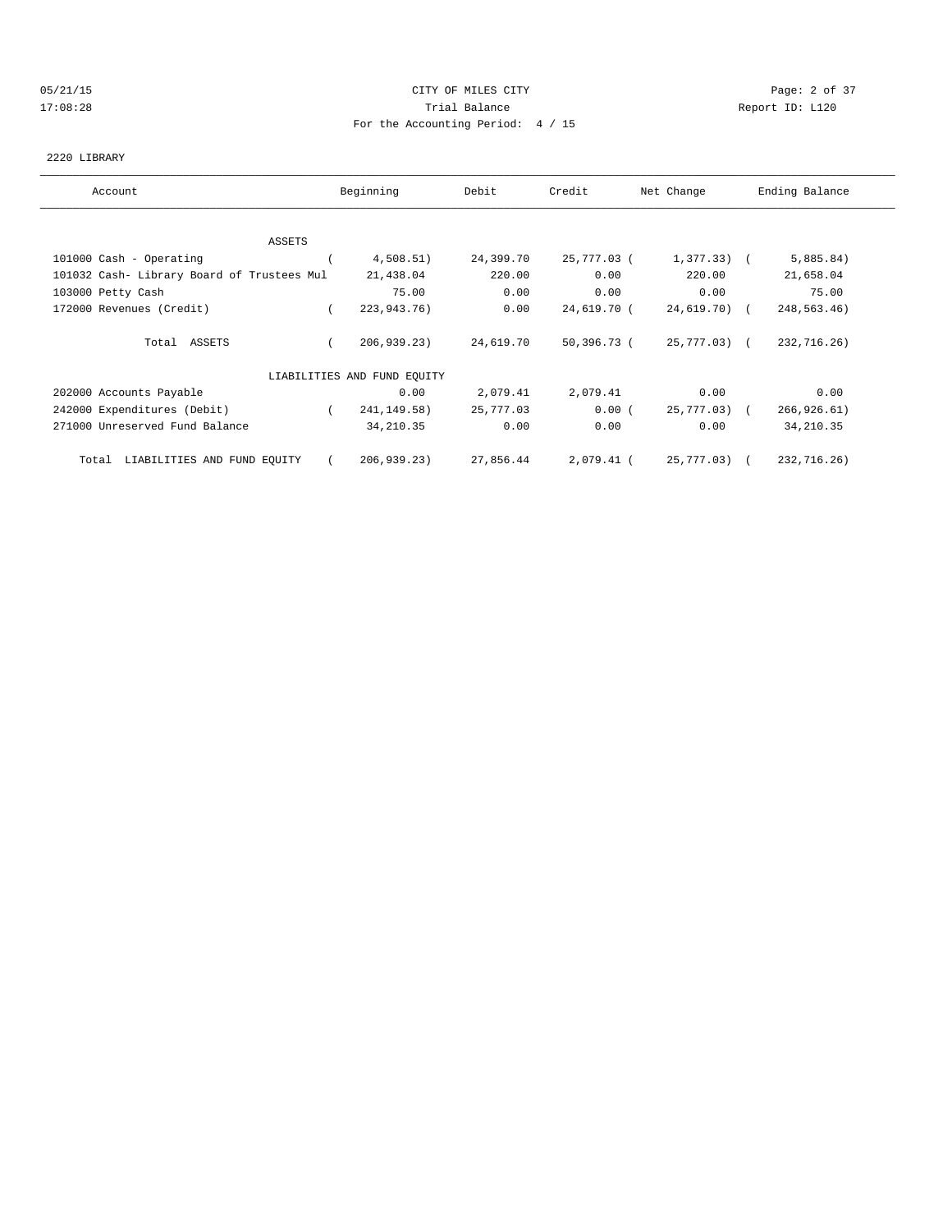### 05/21/15 CITY OF MILES CITY Page: 2 of 37 17:08:28 Trial Balance Report ID: L120 For the Accounting Period: 4 / 15

### 2220 LIBRARY

| Account                                    | Beginning                   | Debit     | Credit      | Net Change   | Ending Balance |
|--------------------------------------------|-----------------------------|-----------|-------------|--------------|----------------|
|                                            |                             |           |             |              |                |
| ASSETS                                     |                             |           |             |              |                |
| 101000 Cash - Operating                    | 4,508.51)                   | 24,399.70 | 25,777.03 ( | $1,377.33$ ( | 5,885.84)      |
| 101032 Cash- Library Board of Trustees Mul | 21,438.04                   | 220.00    | 0.00        | 220.00       | 21,658.04      |
| 103000 Petty Cash                          | 75.00                       | 0.00      | 0.00        | 0.00         | 75.00          |
| 172000 Revenues (Credit)                   | 223,943.76)                 | 0.00      | 24,619.70 ( | 24,619.70) ( | 248,563.46)    |
| Total ASSETS                               | 206,939.23)                 | 24,619.70 | 50,396.73 ( | 25,777.03) ( | 232,716.26)    |
|                                            | LIABILITIES AND FUND EQUITY |           |             |              |                |
| 202000 Accounts Payable                    | 0.00                        | 2,079.41  | 2,079.41    | 0.00         | 0.00           |
| 242000 Expenditures (Debit)                | 241, 149. 58)               | 25,777.03 | 0.00(       | 25,777.03) ( | 266, 926.61)   |
| 271000 Unreserved Fund Balance             | 34, 210.35                  | 0.00      | 0.00        | 0.00         | 34, 210.35     |
| Total LIABILITIES AND FUND EQUITY          | 206, 939.23                 | 27,856.44 | 2,079.41 (  | 25,777.03) ( | 232,716.26)    |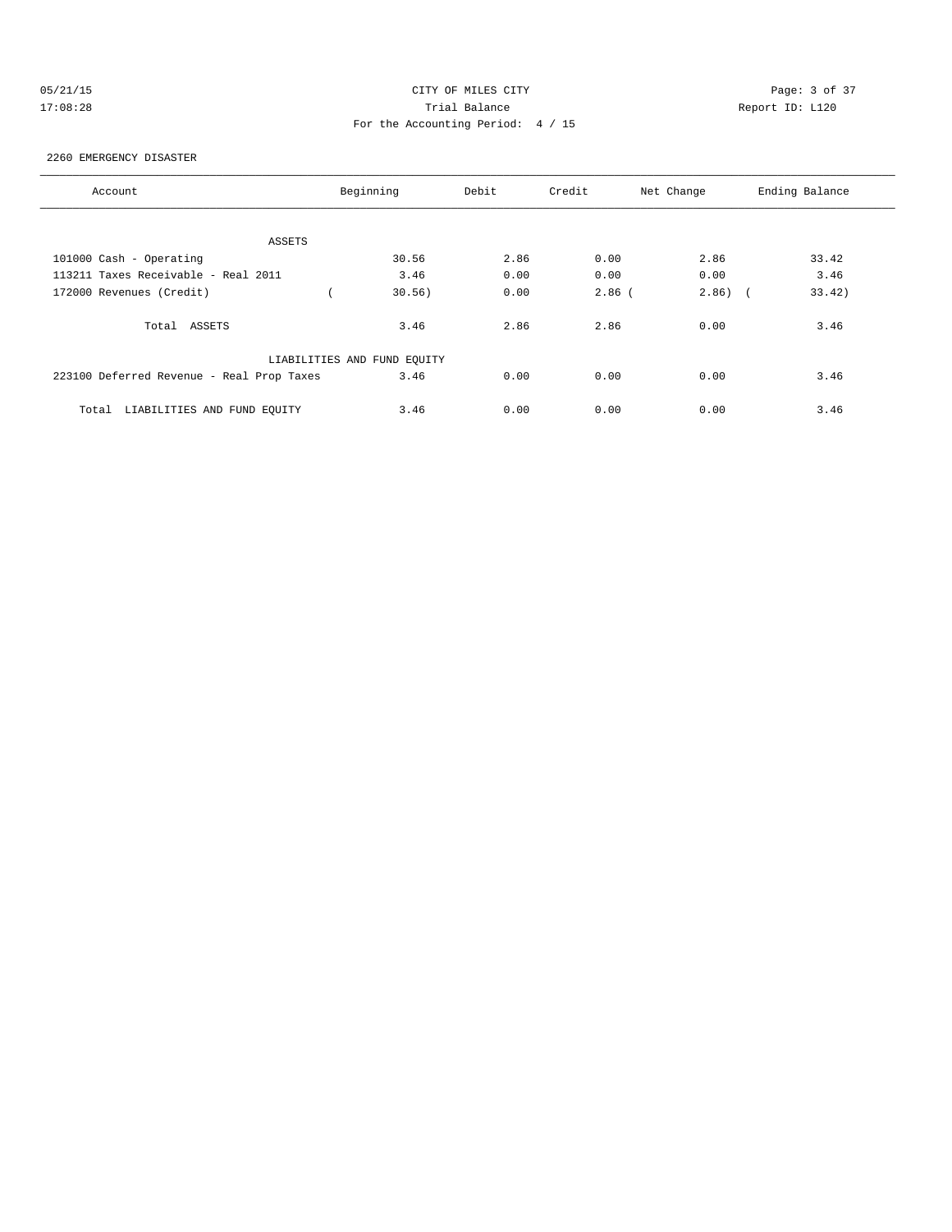# 05/21/15 CITY OF MILES CITY Page: 3 of 37 17:08:28 Trial Balance Report ID: L120 For the Accounting Period: 4 / 15

### 2260 EMERGENCY DISASTER

| Account                                   | Beginning                   | Debit | Credit   | Net Change | Ending Balance |
|-------------------------------------------|-----------------------------|-------|----------|------------|----------------|
|                                           |                             |       |          |            |                |
| ASSETS                                    |                             |       |          |            |                |
| 101000 Cash - Operating                   | 30.56                       | 2.86  | 0.00     | 2.86       | 33.42          |
| 113211 Taxes Receivable - Real 2011       | 3.46                        | 0.00  | 0.00     | 0.00       | 3.46           |
| 172000 Revenues (Credit)                  | 30.56)                      | 0.00  | $2.86$ ( | $2.86$ ) ( | 33.42)         |
| Total ASSETS                              | 3.46                        | 2.86  | 2.86     | 0.00       | 3.46           |
|                                           | LIABILITIES AND FUND EQUITY |       |          |            |                |
| 223100 Deferred Revenue - Real Prop Taxes | 3.46                        | 0.00  | 0.00     | 0.00       | 3.46           |
| LIABILITIES AND FUND EOUITY<br>Total      | 3.46                        | 0.00  | 0.00     | 0.00       | 3.46           |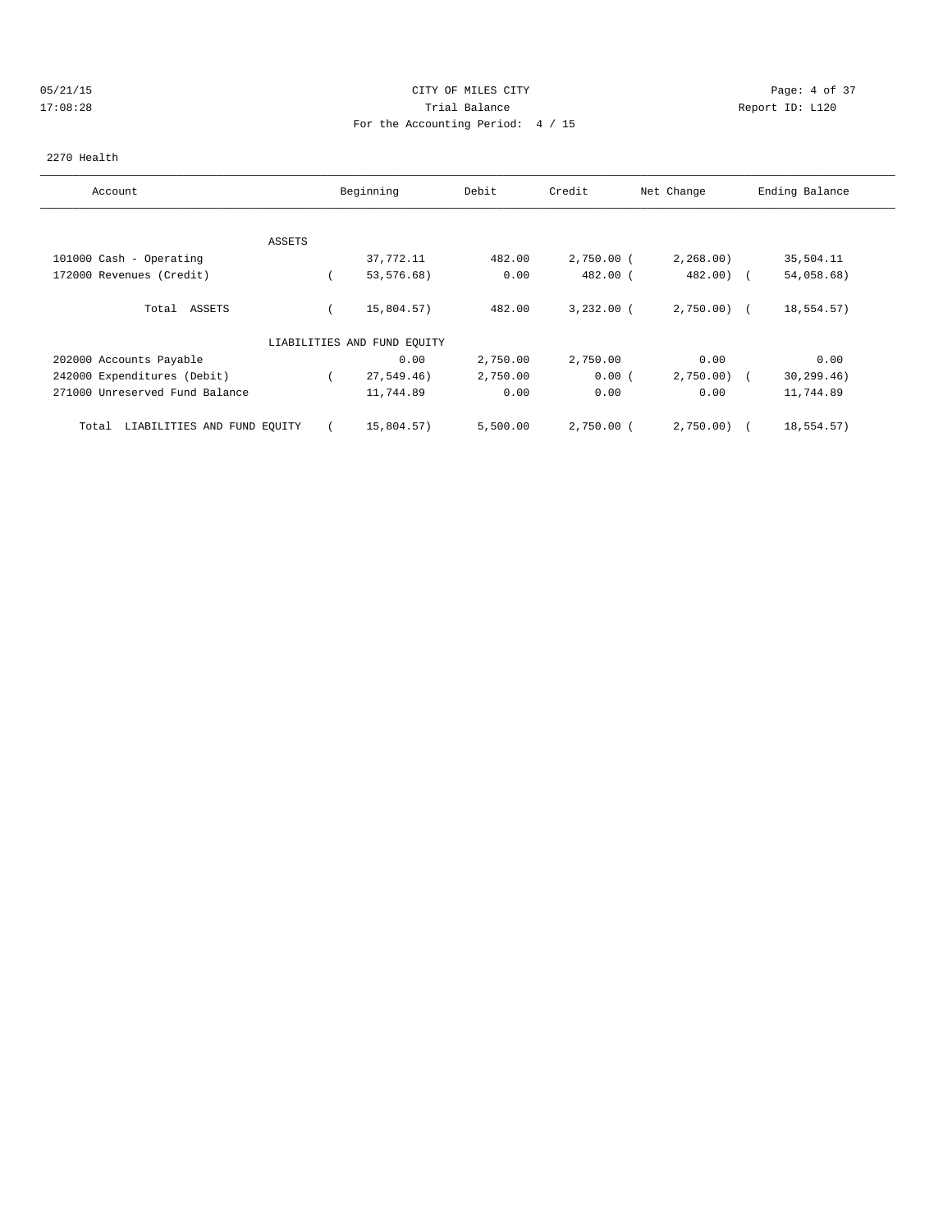### 05/21/15 CITY OF MILES CITY Page: 4 of 37 17:08:28 Trial Balance Report ID: L120 For the Accounting Period: 4 / 15

### 2270 Health

| Account                              |        | Beginning                   | Debit    | Credit       | Net Change   | Ending Balance |
|--------------------------------------|--------|-----------------------------|----------|--------------|--------------|----------------|
|                                      |        |                             |          |              |              |                |
|                                      | ASSETS |                             |          |              |              |                |
| 101000 Cash - Operating              |        | 37,772.11                   | 482.00   | $2,750.00$ ( | 2,268.00     | 35,504.11      |
| 172000 Revenues (Credit)             |        | 53,576.68)                  | 0.00     | 482.00 (     | $482.00$ (   | 54,058.68)     |
| ASSETS<br>Total                      |        | 15,804.57)                  | 482.00   | $3,232.00$ ( | $2,750.00$ ( | 18,554.57)     |
|                                      |        | LIABILITIES AND FUND EQUITY |          |              |              |                |
| 202000 Accounts Payable              |        | 0.00                        | 2,750.00 | 2,750.00     | 0.00         | 0.00           |
| 242000 Expenditures (Debit)          |        | 27,549.46)                  | 2,750.00 | 0.00(        | 2,750.00     | 30, 299.46)    |
| 271000 Unreserved Fund Balance       |        | 11,744.89                   | 0.00     | 0.00         | 0.00         | 11,744.89      |
| LIABILITIES AND FUND EQUITY<br>Total |        | 15,804.57)                  | 5,500.00 | $2,750.00$ ( | 2,750.00     | 18,554.57)     |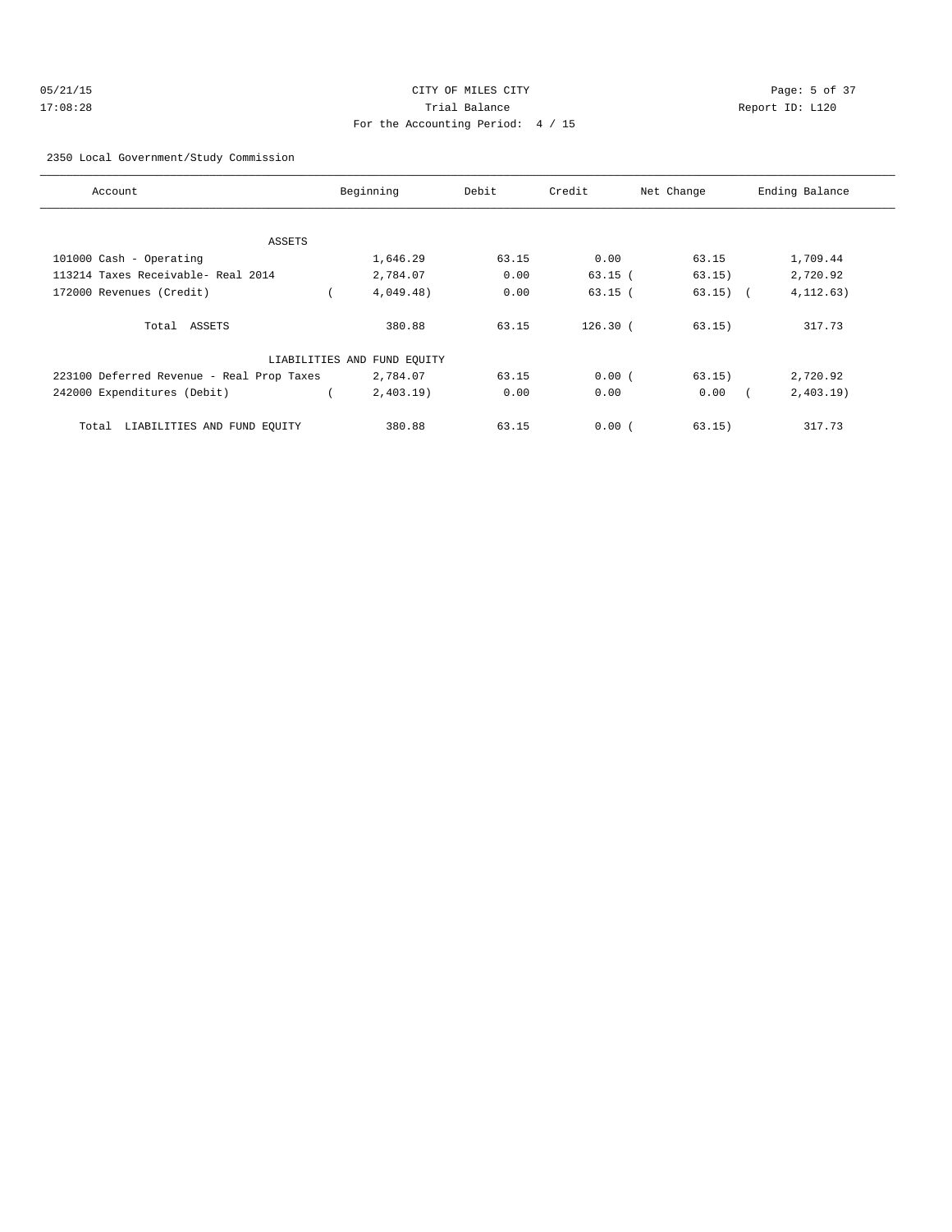| 05/21/15 | CITY OF MILES CITY                | Page: 5 of 37   |
|----------|-----------------------------------|-----------------|
| 17:08:28 | Trial Balance                     | Report ID: L120 |
|          | For the Accounting Period: 4 / 15 |                 |

2350 Local Government/Study Commission

| Account                                   | Beginning                   | Debit | Credit     | Net Change | Ending Balance |
|-------------------------------------------|-----------------------------|-------|------------|------------|----------------|
|                                           |                             |       |            |            |                |
| ASSETS                                    |                             |       |            |            |                |
| 101000 Cash - Operating                   | 1,646.29                    | 63.15 | 0.00       | 63.15      | 1,709.44       |
| 113214 Taxes Receivable- Real 2014        | 2,784.07                    | 0.00  | $63.15$ (  | 63.15)     | 2,720.92       |
| 172000 Revenues (Credit)                  | 4,049.48)                   | 0.00  | $63.15$ (  | $63.15)$ ( | 4, 112.63)     |
| Total ASSETS                              | 380.88                      | 63.15 | $126.30$ ( | 63.15)     | 317.73         |
|                                           | LIABILITIES AND FUND EQUITY |       |            |            |                |
| 223100 Deferred Revenue - Real Prop Taxes | 2,784.07                    | 63.15 | 0.00(      | 63.15)     | 2,720.92       |
| 242000 Expenditures (Debit)               | 2,403.19                    | 0.00  | 0.00       | 0.00       | 2,403.19       |
| LIABILITIES AND FUND EQUITY<br>Total      | 380.88                      | 63.15 | 0.00(      | 63.15)     | 317.73         |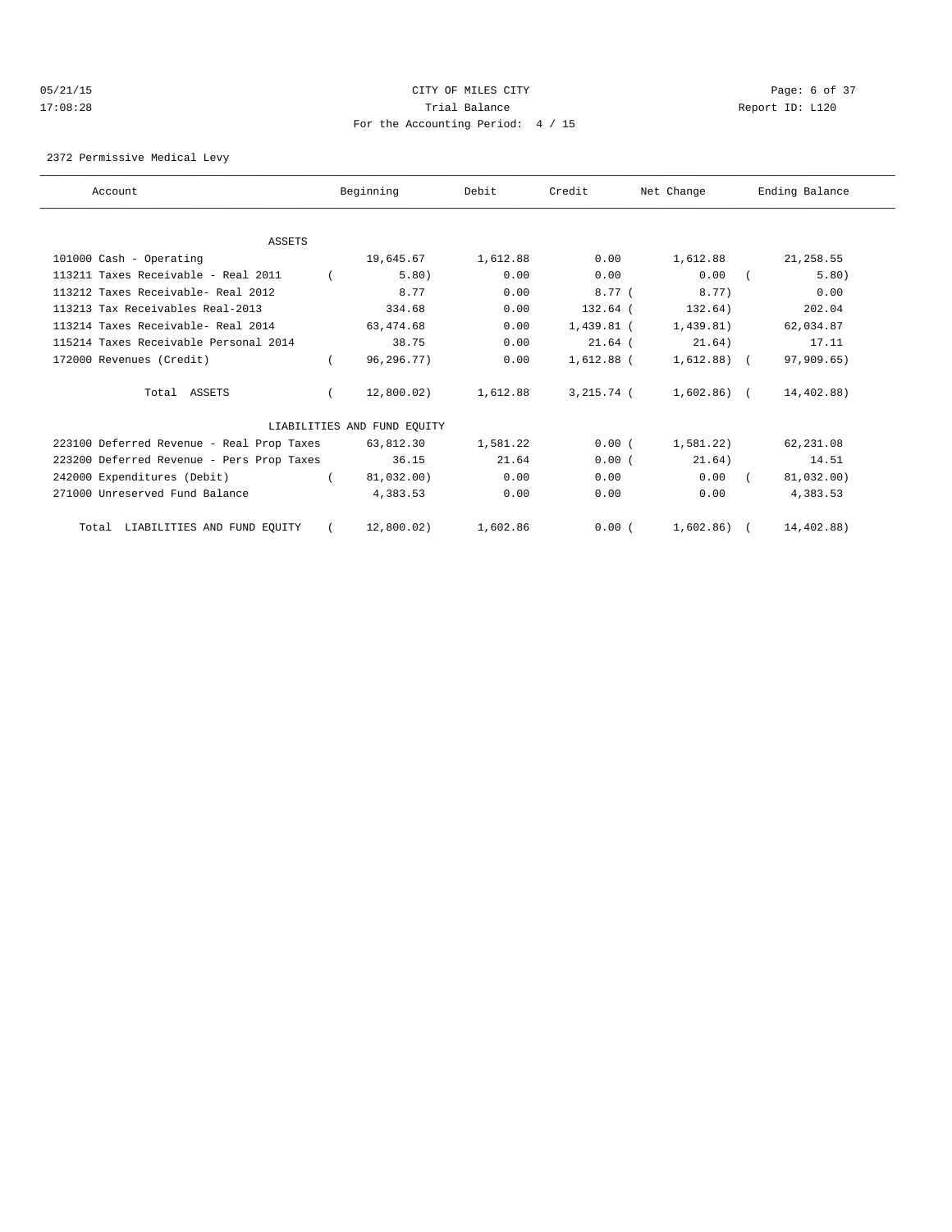### 05/21/15 CITY OF MILES CITY Page: 6 of 37 17:08:28 Trial Balance Report ID: L120 For the Accounting Period: 4 / 15

2372 Permissive Medical Levy

| Account                                   | Beginning                   | Debit    | Credit       | Net Change     | Ending Balance |
|-------------------------------------------|-----------------------------|----------|--------------|----------------|----------------|
|                                           |                             |          |              |                |                |
| ASSETS                                    |                             |          |              |                |                |
| 101000 Cash - Operating                   | 19,645.67                   | 1,612.88 | 0.00         | 1,612.88       | 21,258.55      |
| 113211 Taxes Receivable - Real 2011       | 5.80)                       | 0.00     | 0.00         | 0.00           | 5.80)          |
| 113212 Taxes Receivable- Real 2012        | 8.77                        | 0.00     | 8.77(        | 8.77)          | 0.00           |
| 113213 Tax Receivables Real-2013          | 334.68                      | 0.00     | $132.64$ (   | 132.64)        | 202.04         |
| 113214 Taxes Receivable- Real 2014        | 63,474.68                   | 0.00     | 1,439.81 (   | 1,439.81)      | 62,034.87      |
| 115214 Taxes Receivable Personal 2014     | 38.75                       | 0.00     | $21.64$ (    | 21.64)         | 17.11          |
| 172000 Revenues (Credit)                  | 96,296.77)                  | 0.00     | $1,612.88$ ( | $1,612.88$ (   | 97,909.65)     |
| Total ASSETS                              | 12,800.02)                  | 1,612.88 | 3,215.74 (   | $1,602.86$ (   | 14,402.88)     |
|                                           | LIABILITIES AND FUND EQUITY |          |              |                |                |
| 223100 Deferred Revenue - Real Prop Taxes | 63,812.30                   | 1,581.22 | 0.00(        | 1.581.22       | 62,231.08      |
| 223200 Deferred Revenue - Pers Prop Taxes | 36.15                       | 21.64    | 0.00(        | 21.64)         | 14.51          |
| 242000 Expenditures (Debit)               | 81,032.00)                  | 0.00     | 0.00         | 0.00           | 81,032.00)     |
| 271000 Unreserved Fund Balance            | 4,383.53                    | 0.00     | 0.00         | 0.00           | 4,383.53       |
| LIABILITIES AND FUND EQUITY<br>Total      | 12,800.02                   | 1,602.86 | 0.00(        | $1.602.86$ ) ( | 14,402.88)     |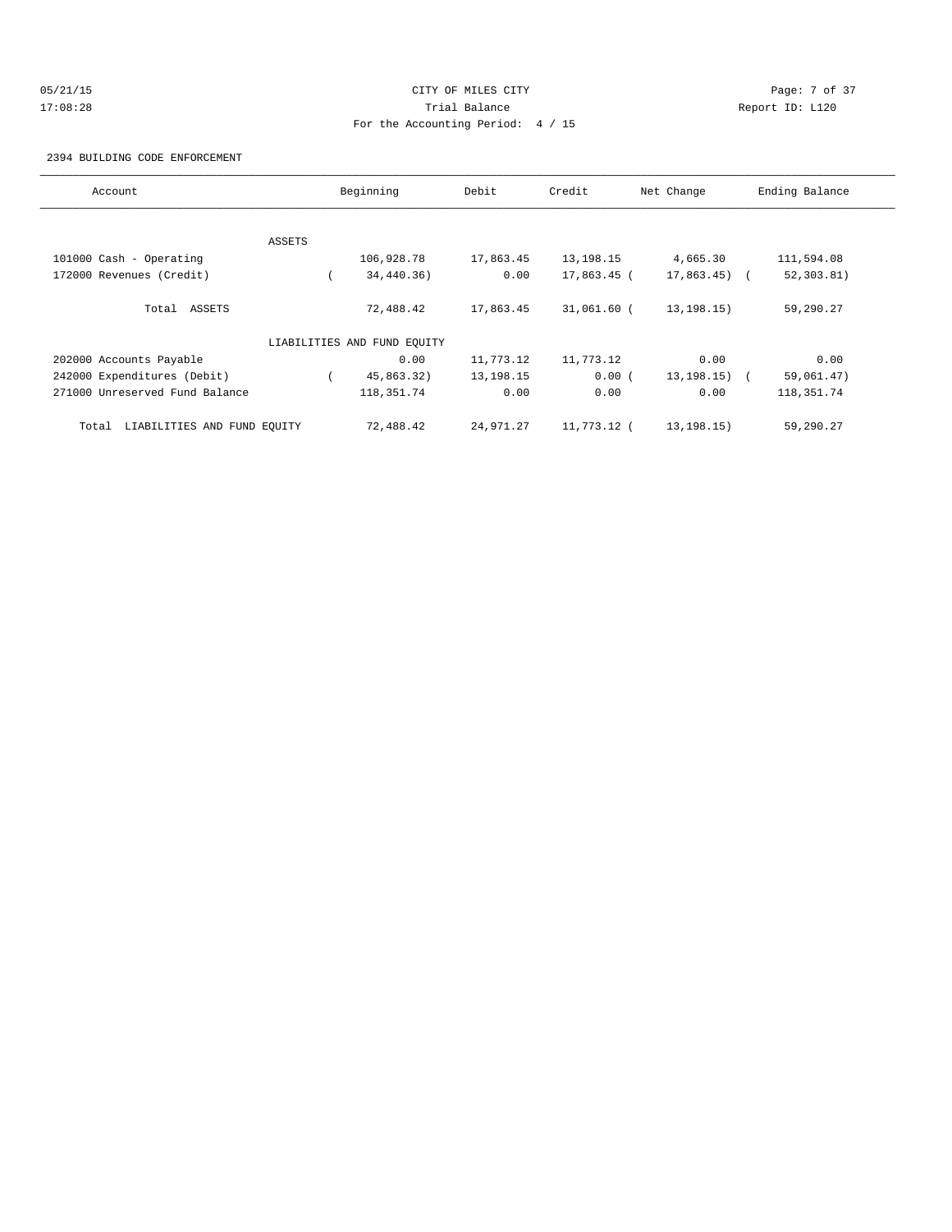# 05/21/15 CITY OF MILES CITY Page: 7 of 37 17:08:28 Trial Balance Report ID: L120 For the Accounting Period: 4 / 15

2394 BUILDING CODE ENFORCEMENT

| Account                              |        | Beginning                   | Debit     | Credit      | Net Change    | Ending Balance |
|--------------------------------------|--------|-----------------------------|-----------|-------------|---------------|----------------|
|                                      |        |                             |           |             |               |                |
|                                      | ASSETS |                             |           |             |               |                |
| 101000 Cash - Operating              |        | 106,928.78                  | 17,863.45 | 13,198.15   | 4,665.30      | 111,594.08     |
| 172000 Revenues (Credit)             |        | 34,440.36)                  | 0.00      | 17,863.45 ( | $17,863.45$ ( | 52, 303.81)    |
| Total ASSETS                         |        | 72,488.42                   | 17,863.45 | 31,061.60 ( | 13, 198. 15)  | 59,290.27      |
|                                      |        | LIABILITIES AND FUND EQUITY |           |             |               |                |
| 202000 Accounts Payable              |        | 0.00                        | 11,773.12 | 11,773.12   | 0.00          | 0.00           |
| 242000 Expenditures (Debit)          |        | 45,863.32)                  | 13,198.15 | 0.00(       | 13,198.15) (  | 59,061.47)     |
| 271000 Unreserved Fund Balance       |        | 118, 351.74                 | 0.00      | 0.00        | 0.00          | 118, 351. 74   |
| LIABILITIES AND FUND EQUITY<br>Total |        | 72,488.42                   | 24,971.27 | 11,773.12 ( | 13, 198. 15)  | 59,290.27      |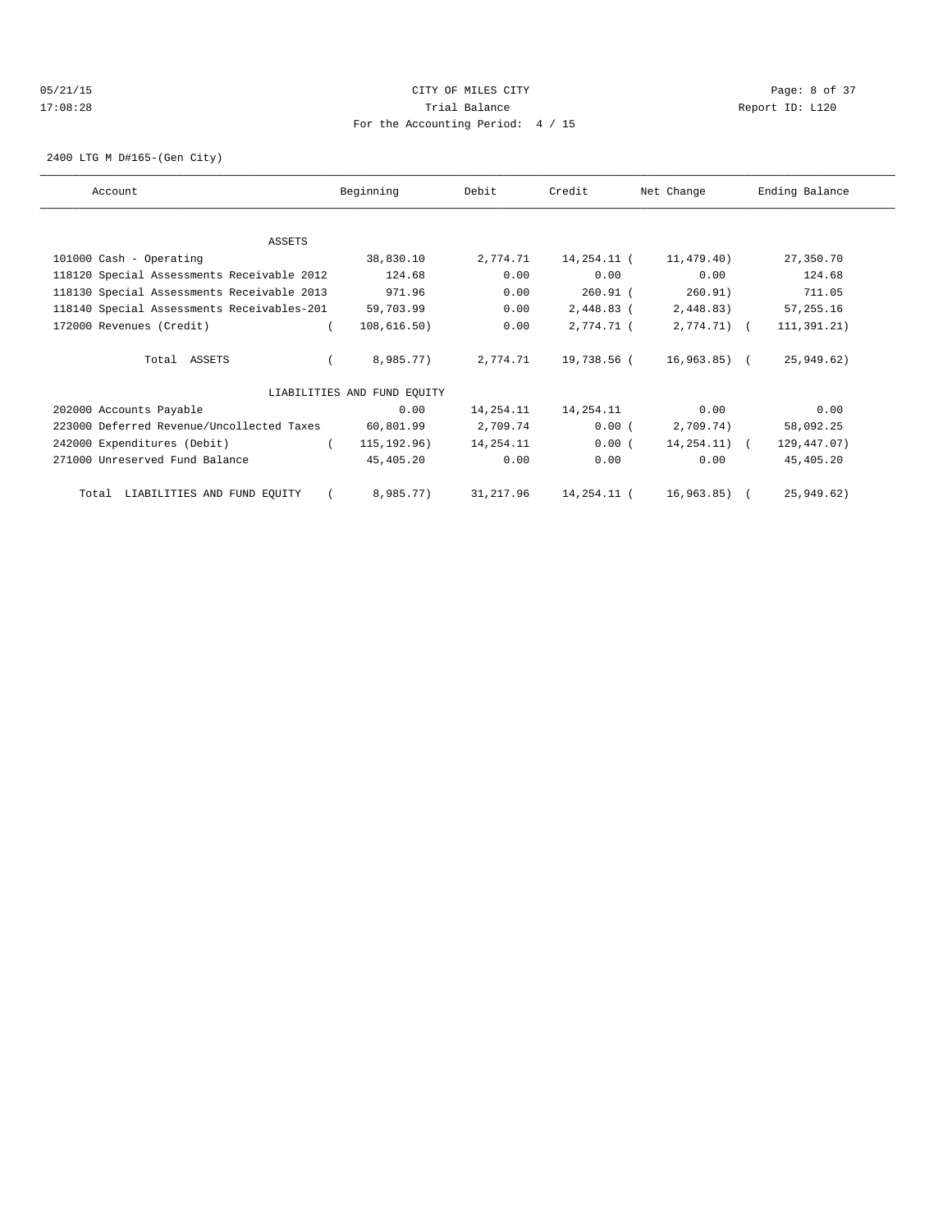# 05/21/15 CITY OF MILES CITY Page: 8 of 37 17:08:28 Trial Balance Report ID: L120 For the Accounting Period: 4 / 15

2400 LTG M D#165-(Gen City)

| Account                                    | Beginning                   | Debit     | Credit      | Net Change       | Ending Balance |
|--------------------------------------------|-----------------------------|-----------|-------------|------------------|----------------|
|                                            |                             |           |             |                  |                |
| ASSETS                                     |                             |           |             |                  |                |
| 101000 Cash - Operating                    | 38,830.10                   | 2,774.71  | 14,254.11 ( | 11,479.40)       | 27,350.70      |
| 118120 Special Assessments Receivable 2012 | 124.68                      | 0.00      | 0.00        | 0.00             | 124.68         |
| 118130 Special Assessments Receivable 2013 | 971.96                      | 0.00      | $260.91$ (  | 260.91)          | 711.05         |
| 118140 Special Assessments Receivables-201 | 59,703.99                   | 0.00      | 2,448.83 (  | 2,448.83)        | 57,255.16      |
| 172000 Revenues (Credit)                   | 108,616.50)                 | 0.00      | 2,774.71 (  | $2,774.71$ (     | 111, 391, 21)  |
| Total ASSETS                               | 8,985.77)                   | 2,774.71  | 19,738.56 ( | 16,963.85) (     | 25,949.62)     |
|                                            | LIABILITIES AND FUND EQUITY |           |             |                  |                |
| 202000 Accounts Payable                    | 0.00                        | 14,254.11 | 14,254.11   | 0.00             | 0.00           |
| 223000 Deferred Revenue/Uncollected Taxes  | 60,801.99                   | 2,709.74  | 0.00(       | 2,709.74)        | 58,092.25      |
| 242000 Expenditures (Debit)                | 115, 192.96)<br>$\left($    | 14,254.11 | 0.00(       | $14, 254, 11)$ ( | 129,447.07)    |
| 271000 Unreserved Fund Balance             | 45,405.20                   | 0.00      | 0.00        | 0.00             | 45,405.20      |
| Total LIABILITIES AND FUND EQUITY          | 8,985.77)                   | 31,217.96 | 14,254.11 ( | 16,963.85) (     | 25,949.62)     |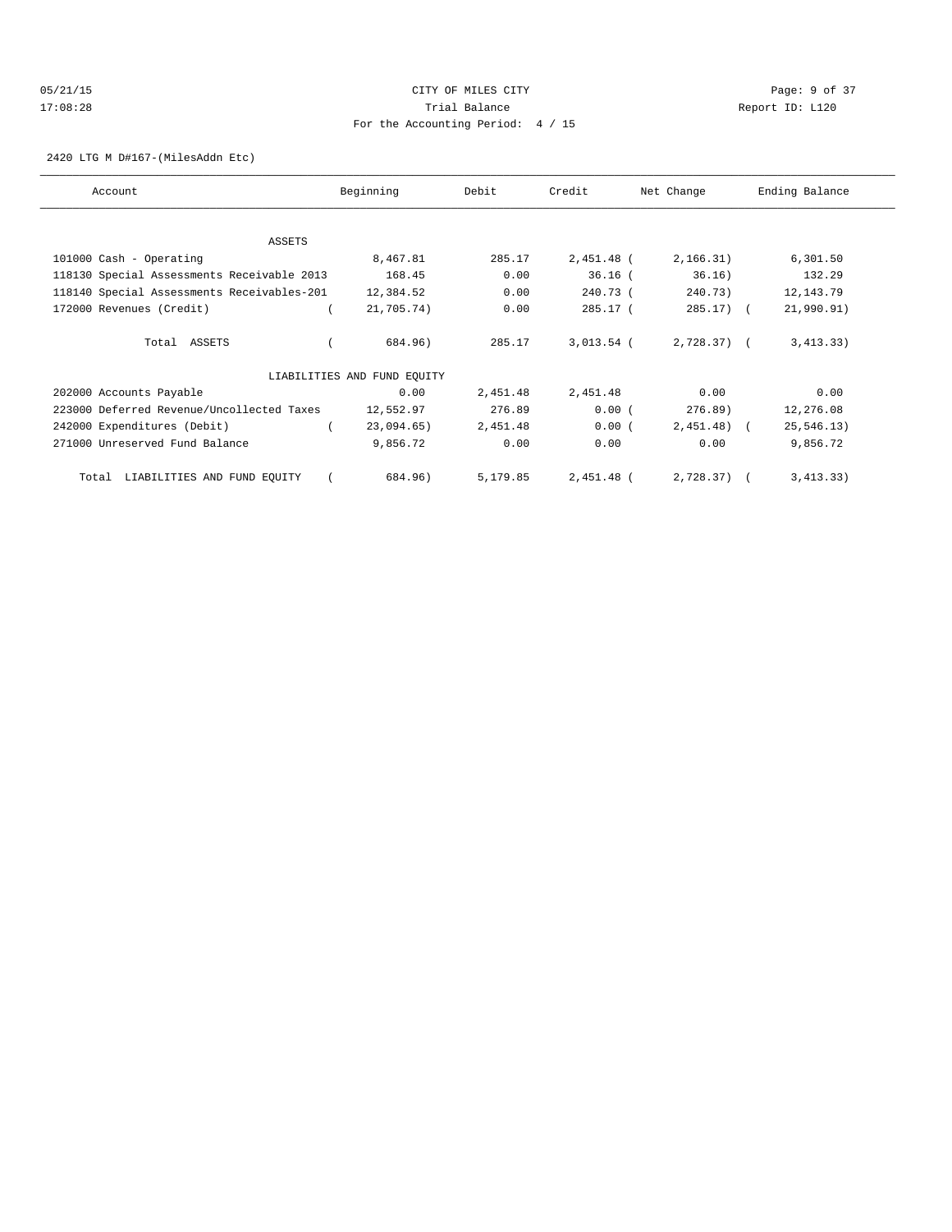# 05/21/15 **Page: 9 of 37** 17:08:28 Trial Balance Report ID: L120 For the Accounting Period: 4 / 15

2420 LTG M D#167-(MilesAddn Etc)

| Account                                    | Beginning                   | Debit    | Credit       | Net Change   | Ending Balance |
|--------------------------------------------|-----------------------------|----------|--------------|--------------|----------------|
|                                            |                             |          |              |              |                |
| ASSETS                                     |                             |          |              |              |                |
| 101000 Cash - Operating                    | 8,467.81                    | 285.17   | 2,451.48 (   | 2,166.31)    | 6,301.50       |
| 118130 Special Assessments Receivable 2013 | 168.45                      | 0.00     | $36.16$ (    | 36.16)       | 132.29         |
| 118140 Special Assessments Receivables-201 | 12,384.52                   | 0.00     | 240.73 (     | 240.73)      | 12, 143.79     |
| 172000 Revenues (Credit)                   | 21,705.74)                  | 0.00     | $285.17$ (   | $285.17$ )   | 21,990.91)     |
| Total ASSETS                               | 684.96)                     | 285.17   | $3,013.54$ ( | $2,728.37$ ( | 3,413.33)      |
|                                            | LIABILITIES AND FUND EQUITY |          |              |              |                |
| 202000 Accounts Payable                    | 0.00                        | 2,451.48 | 2,451.48     | 0.00         | 0.00           |
| 223000 Deferred Revenue/Uncollected Taxes  | 12,552.97                   | 276.89   | 0.00(        | 276.89)      | 12,276.08      |
| 242000 Expenditures (Debit)                | 23,094.65)                  | 2,451.48 | 0.00(        | 2,451.48)    | 25, 546.13)    |
| 271000 Unreserved Fund Balance             | 9,856.72                    | 0.00     | 0.00         | 0.00         | 9,856.72       |
| LIABILITIES AND FUND EQUITY<br>Total       | 684.96)                     | 5,179.85 | 2,451.48 (   | $2,728.37$ ( | 3,413.33)      |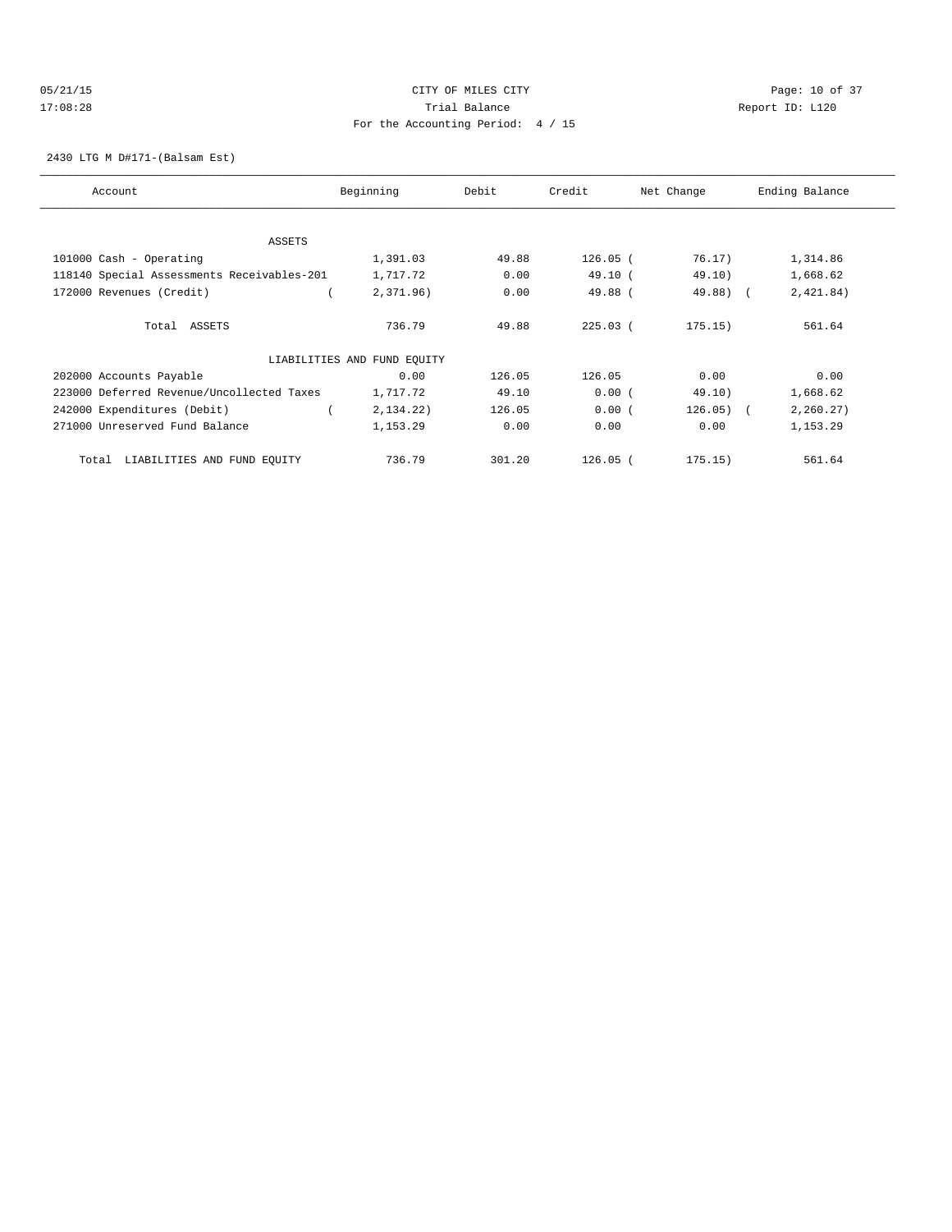# 05/21/15 **DESEMBLE CONSTRUSS CONSTRUSS ON A SET OF MILES CITY** CONSTRUSS ON A Page: 10 of 37 17:08:28 Trial Balance Report ID: L120 For the Accounting Period: 4 / 15

2430 LTG M D#171-(Balsam Est)

| Account                                    | Beginning                   | Debit  | Credit     | Net Change  | Ending Balance |
|--------------------------------------------|-----------------------------|--------|------------|-------------|----------------|
|                                            |                             |        |            |             |                |
|                                            |                             |        |            |             |                |
| <b>ASSETS</b>                              |                             |        |            |             |                |
| 101000 Cash - Operating                    | 1,391.03                    | 49.88  | $126.05$ ( | 76.17)      | 1,314.86       |
| 118140 Special Assessments Receivables-201 | 1,717.72                    | 0.00   | 49.10(     | 49.10)      | 1,668.62       |
| 172000 Revenues (Credit)                   | 2,371.96)                   | 0.00   | 49.88 (    | 49.88) (    | 2,421.84)      |
|                                            |                             |        |            |             |                |
| Total ASSETS                               | 736.79                      | 49.88  | $225.03$ ( | 175.15)     | 561.64         |
|                                            |                             |        |            |             |                |
|                                            | LIABILITIES AND FUND EQUITY |        |            |             |                |
| 202000 Accounts Payable                    | 0.00                        | 126.05 | 126.05     | 0.00        | 0.00           |
| 223000 Deferred Revenue/Uncollected Taxes  | 1,717.72                    | 49.10  | 0.00(      | 49.10)      | 1,668.62       |
| 242000 Expenditures (Debit)                | 2,134.22)                   | 126.05 | 0.00(      | $126.05)$ ( | 2, 260.27)     |
| 271000 Unreserved Fund Balance             | 1,153.29                    | 0.00   | 0.00       | 0.00        | 1,153.29       |
|                                            |                             |        |            |             |                |
| LIABILITIES AND FUND EQUITY<br>Total       | 736.79                      | 301.20 | $126.05$ ( | 175.15)     | 561.64         |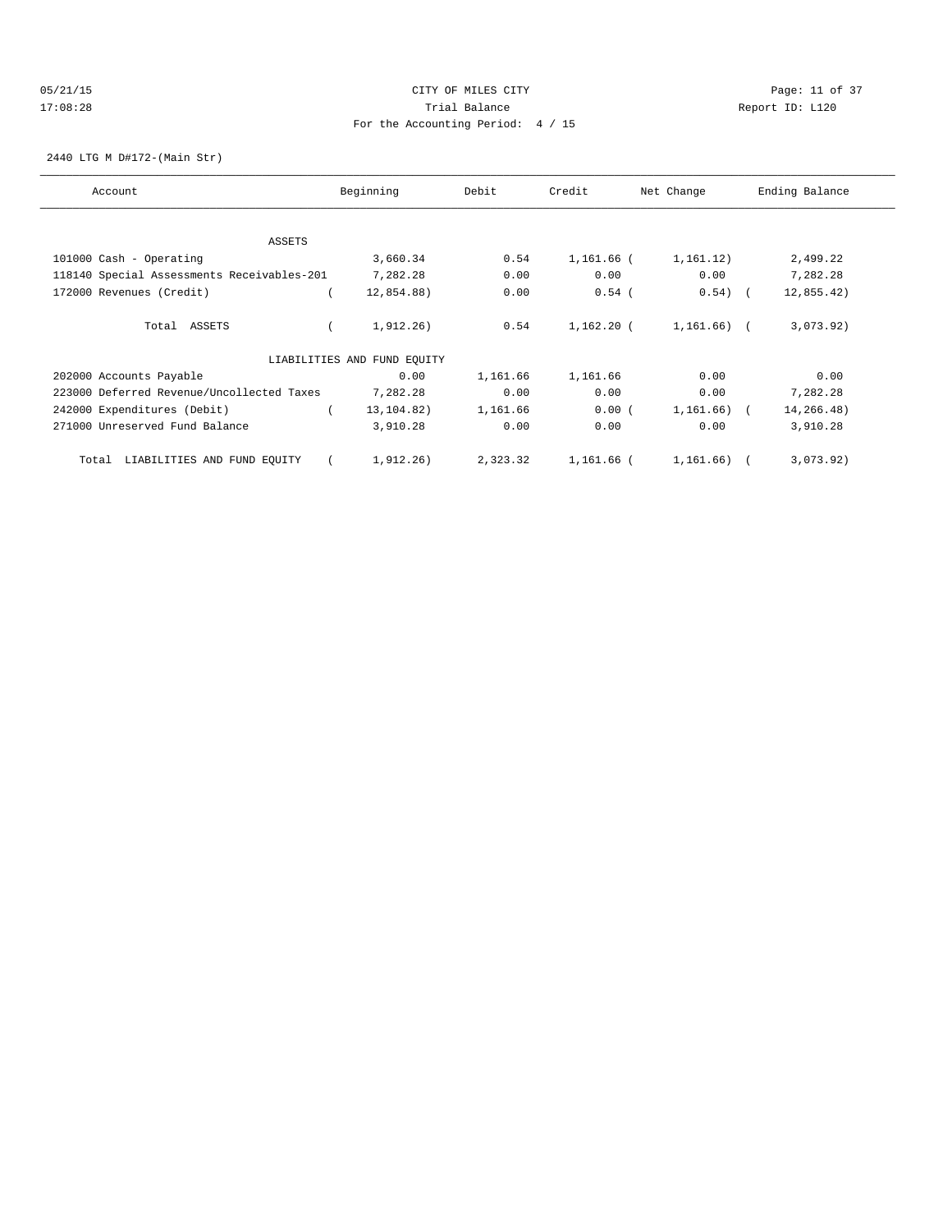### 05/21/15 Page: 11 of 37 17:08:28 Trial Balance Report ID: L120 For the Accounting Period: 4 / 15

2440 LTG M D#172-(Main Str)

| Account                                    | Beginning                   | Debit    | Credit       | Net Change     | Ending Balance |
|--------------------------------------------|-----------------------------|----------|--------------|----------------|----------------|
|                                            |                             |          |              |                |                |
| ASSETS                                     |                             |          |              |                |                |
| 101000 Cash - Operating                    | 3,660.34                    | 0.54     | 1,161.66 (   | 1,161.12)      | 2,499.22       |
| 118140 Special Assessments Receivables-201 | 7,282.28                    | 0.00     | 0.00         | 0.00           | 7,282.28       |
| 172000 Revenues (Credit)                   | 12,854.88)                  | 0.00     | $0.54$ (     | $0.54)$ (      | 12,855.42)     |
| Total ASSETS                               | 1,912.26)                   | 0.54     | $1.162.20$ ( | 1,161.66) (    | 3,073.92)      |
|                                            | LIABILITIES AND FUND EQUITY |          |              |                |                |
| 202000 Accounts Payable                    | 0.00                        | 1,161.66 | 1,161.66     | 0.00           | 0.00           |
| 223000 Deferred Revenue/Uncollected Taxes  | 7,282.28                    | 0.00     | 0.00         | 0.00           | 7,282.28       |
| 242000 Expenditures (Debit)                | 13, 104.82)                 | 1,161.66 | 0.00(        | $1,161.66$ (   | 14,266.48)     |
| 271000 Unreserved Fund Balance             | 3,910.28                    | 0.00     | 0.00         | 0.00           | 3,910.28       |
| LIABILITIES AND FUND EQUITY<br>Total       | 1,912.26)                   | 2,323.32 | 1,161.66 (   | $1,161.66$ ) ( | 3,073.92)      |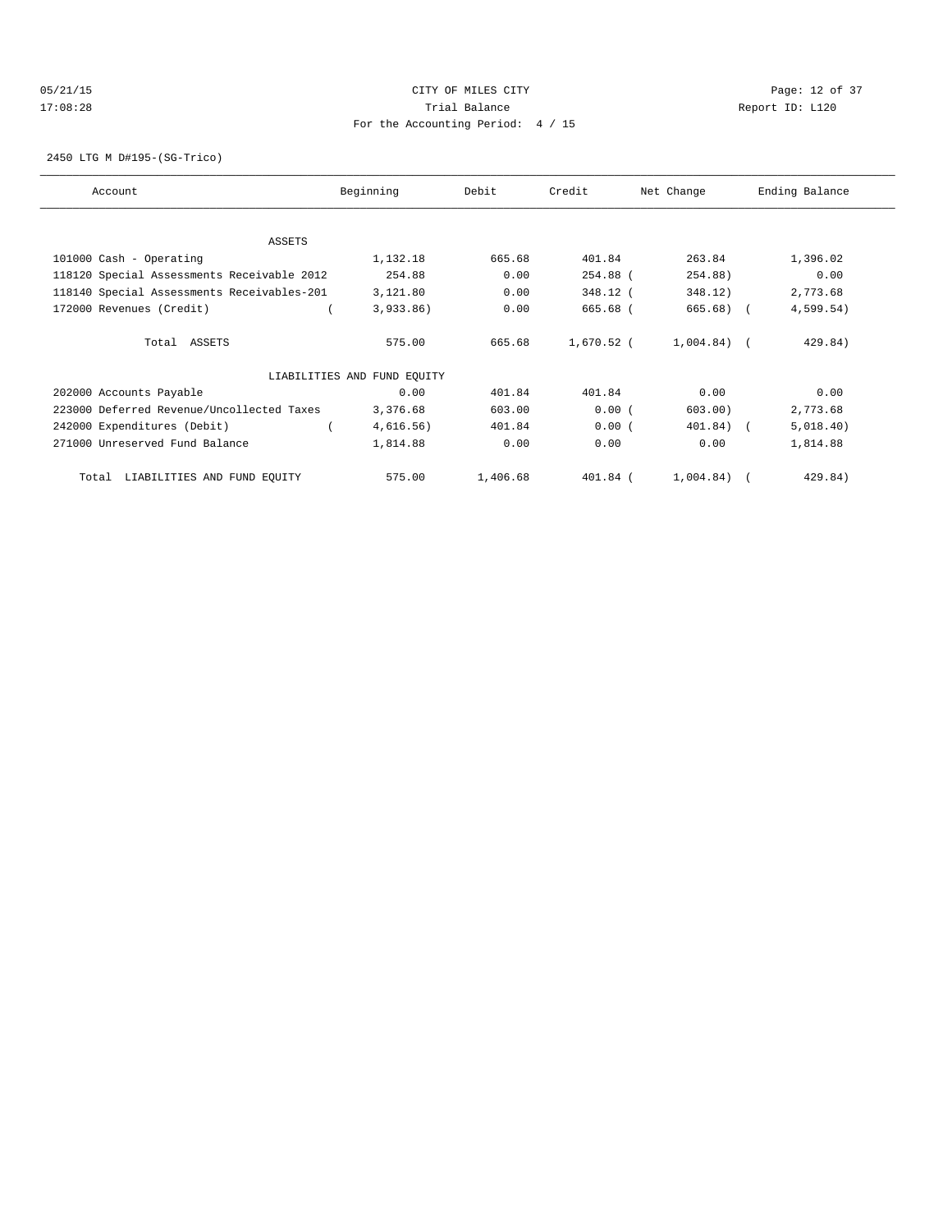### 05/21/15 Page: 12 of 37 17:08:28 Trial Balance Report ID: L120 For the Accounting Period: 4 / 15

2450 LTG M D#195-(SG-Trico)

| Account                                    | Beginning                   | Debit    | Credit       | Net Change    | Ending Balance |
|--------------------------------------------|-----------------------------|----------|--------------|---------------|----------------|
|                                            |                             |          |              |               |                |
| ASSETS                                     |                             |          |              |               |                |
| 101000 Cash - Operating                    | 1,132.18                    | 665.68   | 401.84       | 263.84        | 1,396.02       |
| 118120 Special Assessments Receivable 2012 | 254.88                      | 0.00     | 254.88 (     | 254.88)       | 0.00           |
| 118140 Special Assessments Receivables-201 | 3,121.80                    | 0.00     | 348.12 (     | 348.12)       | 2,773.68       |
| 172000 Revenues (Credit)                   | 3,933.86)                   | 0.00     | 665.68 (     | 665.68)       | 4,599.54)      |
| Total ASSETS                               | 575.00                      | 665.68   | $1,670.52$ ( | $1,004.84)$ ( | 429.84)        |
|                                            | LIABILITIES AND FUND EQUITY |          |              |               |                |
| 202000 Accounts Payable                    | 0.00                        | 401.84   | 401.84       | 0.00          | 0.00           |
| 223000 Deferred Revenue/Uncollected Taxes  | 3,376.68                    | 603.00   | 0.00(        | 603.00)       | 2,773.68       |
| 242000 Expenditures (Debit)                | 4,616.56)                   | 401.84   | 0.00(        | 401.84)       | 5,018.40)      |
| 271000 Unreserved Fund Balance             | 1,814.88                    | 0.00     | 0.00         | 0.00          | 1,814.88       |
| LIABILITIES AND FUND EQUITY<br>Total       | 575.00                      | 1,406.68 | $401.84$ (   | 1,004.84)     | 429.84)        |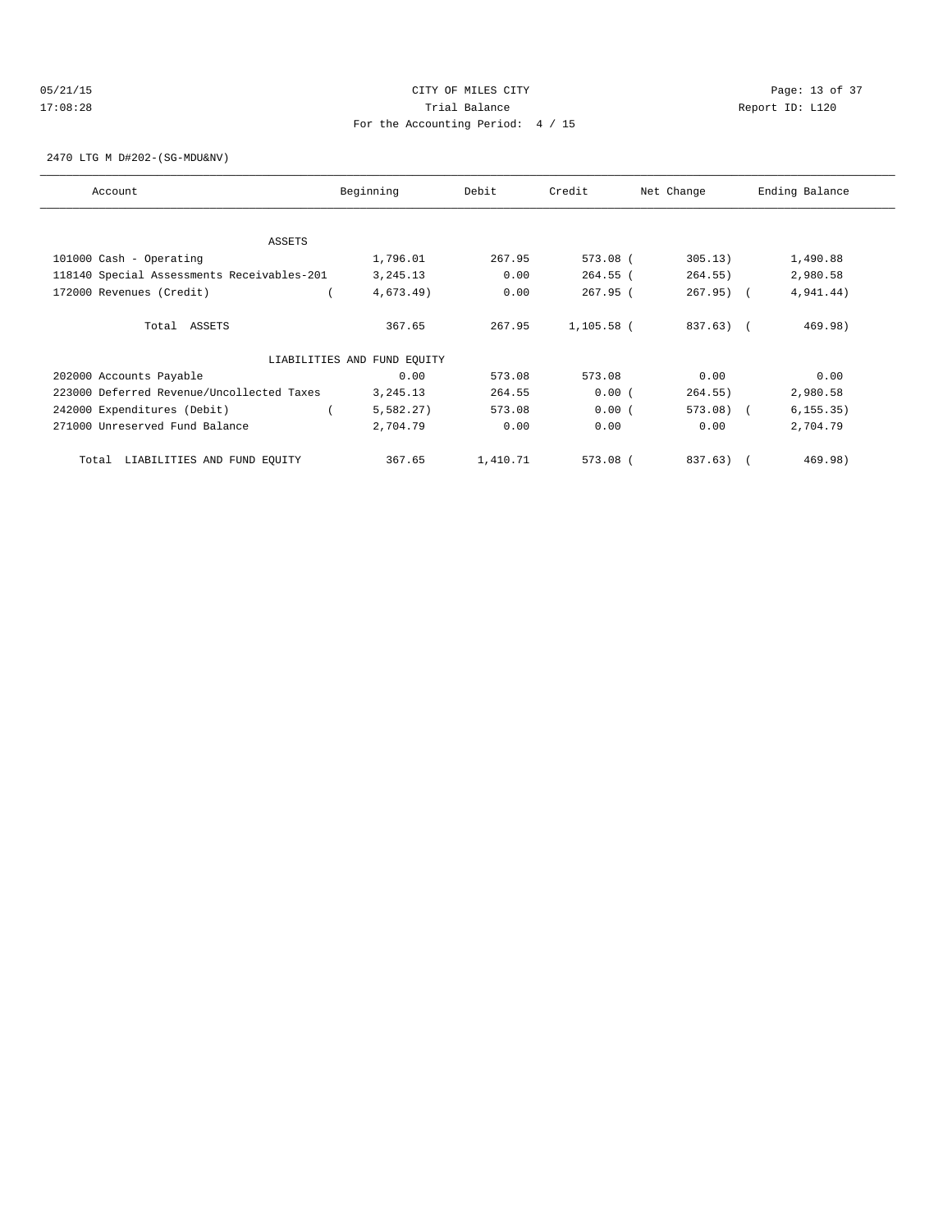### 05/21/15 **Page: 13 of 37** CITY OF MILES CITY **CITY Page: 13 of 37** 17:08:28 Trial Balance Report ID: L120 For the Accounting Period: 4 / 15

2470 LTG M D#202-(SG-MDU&NV)

| Account                                    | Beginning                   | Debit    | Credit     | Net Change | Ending Balance |
|--------------------------------------------|-----------------------------|----------|------------|------------|----------------|
|                                            |                             |          |            |            |                |
| <b>ASSETS</b>                              |                             |          |            |            |                |
| 101000 Cash - Operating                    | 1,796.01                    | 267.95   | 573.08 (   | 305.13)    | 1,490.88       |
| 118140 Special Assessments Receivables-201 | 3, 245. 13                  | 0.00     | $264.55$ ( | 264.55)    | 2,980.58       |
| 172000 Revenues (Credit)                   | 4,673.49)                   | 0.00     | $267.95$ ( | $267.95$ ( | 4,941.44)      |
| Total ASSETS                               | 367.65                      | 267.95   | 1,105.58 ( | 837.63) (  | 469.98)        |
|                                            | LIABILITIES AND FUND EQUITY |          |            |            |                |
| 202000 Accounts Payable                    | 0.00                        | 573.08   | 573.08     | 0.00       | 0.00           |
| 223000 Deferred Revenue/Uncollected Taxes  | 3, 245. 13                  | 264.55   | 0.00(      | 264.55)    | 2,980.58       |
| 242000 Expenditures (Debit)                | 5,582.27)                   | 573.08   | 0.00(      | 573.08) (  | 6, 155.35)     |
| 271000 Unreserved Fund Balance             | 2,704.79                    | 0.00     | 0.00       | 0.00       | 2,704.79       |
| LIABILITIES AND FUND EQUITY<br>Total       | 367.65                      | 1,410.71 | 573.08 (   | 837.63) (  | 469.98)        |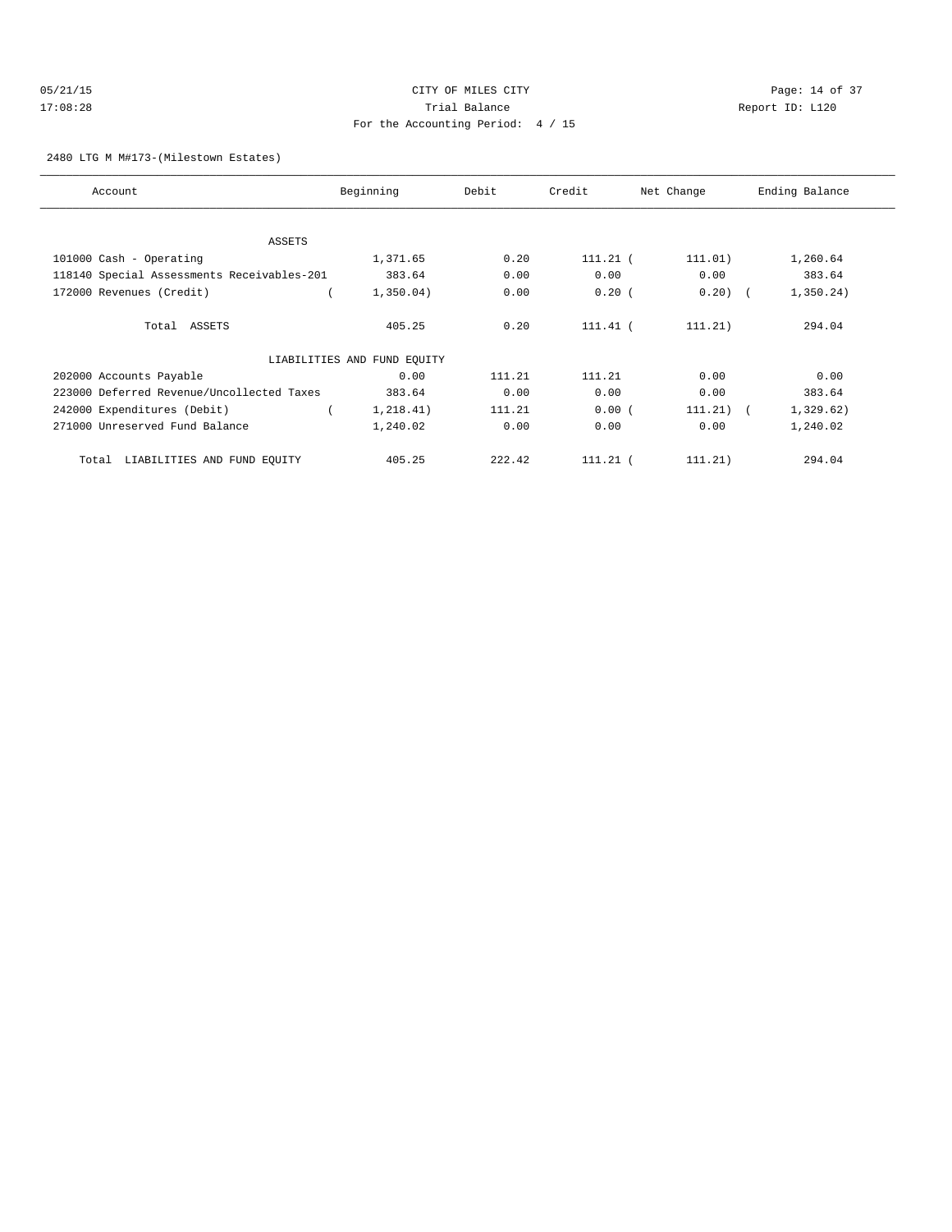### 05/21/15 Page: 14 of 37 17:08:28 Trial Balance Report ID: L120 For the Accounting Period: 4 / 15

### 2480 LTG M M#173-(Milestown Estates)

| Account                                    | Beginning                   | Debit  | Credit     | Net Change  | Ending Balance |
|--------------------------------------------|-----------------------------|--------|------------|-------------|----------------|
|                                            |                             |        |            |             |                |
| <b>ASSETS</b>                              |                             |        |            |             |                |
| 101000 Cash - Operating                    | 1,371.65                    | 0.20   | $111.21$ ( | 111.01)     | 1,260.64       |
| 118140 Special Assessments Receivables-201 | 383.64                      | 0.00   | 0.00       | 0.00        | 383.64         |
| 172000 Revenues (Credit)                   | 1,350.04)                   | 0.00   | 0.20(      | $0.20)$ (   | 1,350.24)      |
| Total ASSETS                               | 405.25                      | 0.20   | $111.41$ ( | 111.21)     | 294.04         |
|                                            | LIABILITIES AND FUND EQUITY |        |            |             |                |
| 202000 Accounts Payable                    | 0.00                        | 111.21 | 111.21     | 0.00        | 0.00           |
| 223000 Deferred Revenue/Uncollected Taxes  | 383.64                      | 0.00   | 0.00       | 0.00        | 383.64         |
| 242000 Expenditures (Debit)                | 1, 218.41)                  | 111.21 | 0.00(      | $111.21)$ ( | 1,329.62)      |
| 271000 Unreserved Fund Balance             | 1,240.02                    | 0.00   | 0.00       | 0.00        | 1,240.02       |
| LIABILITIES AND FUND EQUITY<br>Total       | 405.25                      | 222.42 | $111.21$ ( | 111.21)     | 294.04         |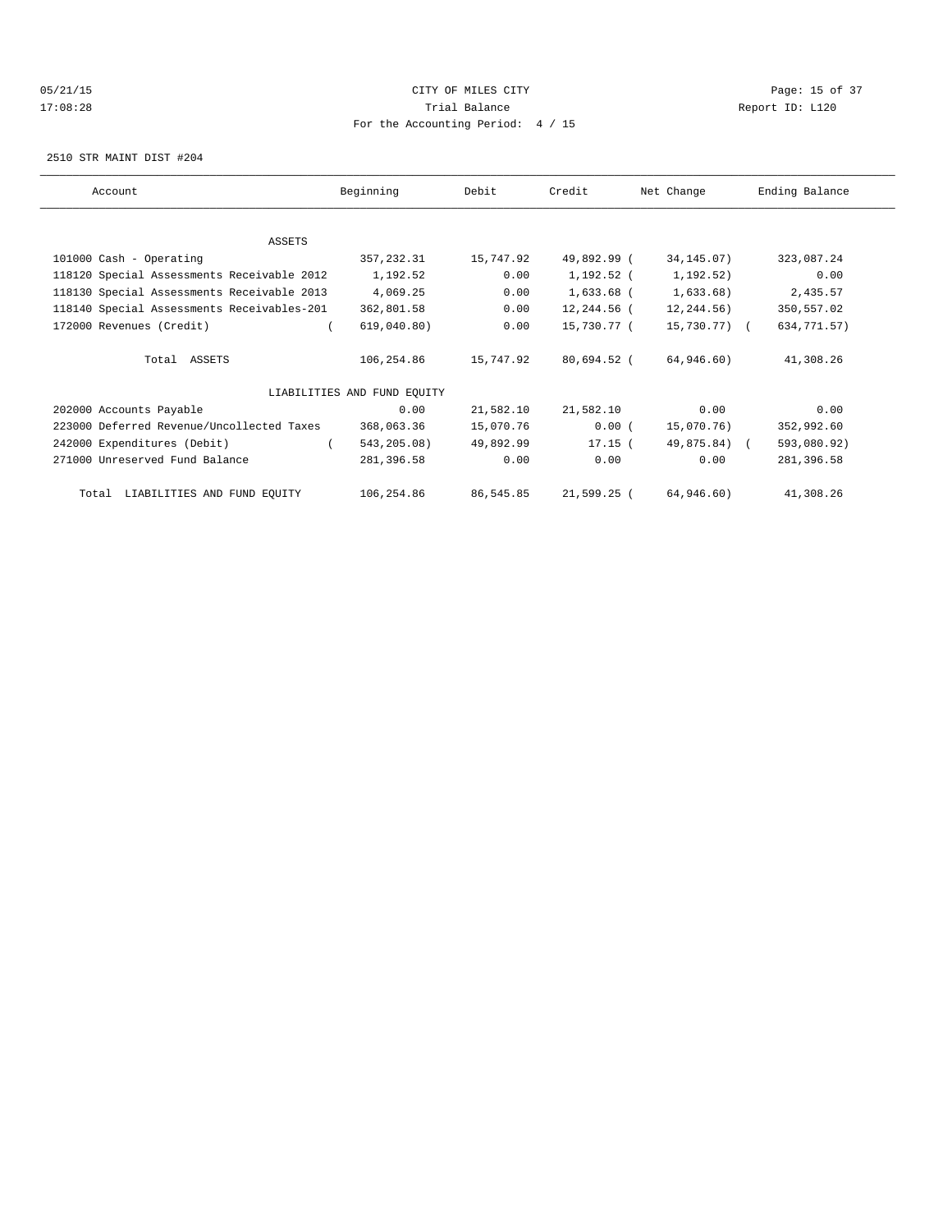# 05/21/15 **DESEMBLE CREAM CONTROL** CONTROL CONTROL CONTROL CONTROL CONTROL CONTROL CONTROL CONTROL CONTROL CONTROL CONTROL CONTROL CONTROL CONTROL CONTROL CONTROL CONTROL CONTROL CONTROL CONTROL CONTROL CONTROL CONTROL CONT 17:08:28 Trial Balance Report ID: L120 For the Accounting Period: 4 / 15

2510 STR MAINT DIST #204

| Account                                    | Beginning                   | Debit     | Credit      | Net Change   | Ending Balance |
|--------------------------------------------|-----------------------------|-----------|-------------|--------------|----------------|
|                                            |                             |           |             |              |                |
| ASSETS                                     |                             |           |             |              |                |
| 101000 Cash - Operating                    | 357, 232.31                 | 15,747.92 | 49,892.99 ( | 34, 145.07)  | 323,087.24     |
| 118120 Special Assessments Receivable 2012 | 1,192.52                    | 0.00      | 1,192.52 (  | 1,192.52)    | 0.00           |
| 118130 Special Assessments Receivable 2013 | 4,069.25                    | 0.00      | 1,633.68 (  | 1,633.68)    | 2,435.57       |
| 118140 Special Assessments Receivables-201 | 362,801.58                  | 0.00      | 12,244.56 ( | 12,244.56)   | 350,557.02     |
| 172000 Revenues (Credit)                   | 619,040.80)                 | 0.00      | 15,730.77 ( | 15,730.77) ( | 634,771.57)    |
| Total ASSETS                               | 106,254.86                  | 15,747.92 | 80,694.52 ( | 64,946.60)   | 41,308.26      |
|                                            | LIABILITIES AND FUND EQUITY |           |             |              |                |
| 202000 Accounts Payable                    | 0.00                        | 21,582.10 | 21,582.10   | 0.00         | 0.00           |
| 223000 Deferred Revenue/Uncollected Taxes  | 368,063.36                  | 15,070.76 | 0.00(       | 15,070.76)   | 352,992.60     |
| 242000 Expenditures (Debit)                | 543,205.08)                 | 49,892.99 | $17.15$ (   | 49,875.84) ( | 593,080.92)    |
| 271000 Unreserved Fund Balance             | 281,396.58                  | 0.00      | 0.00        | 0.00         | 281,396.58     |
| Total LIABILITIES AND FUND EQUITY          | 106,254.86                  | 86,545.85 | 21,599.25 ( | 64,946.60)   | 41,308.26      |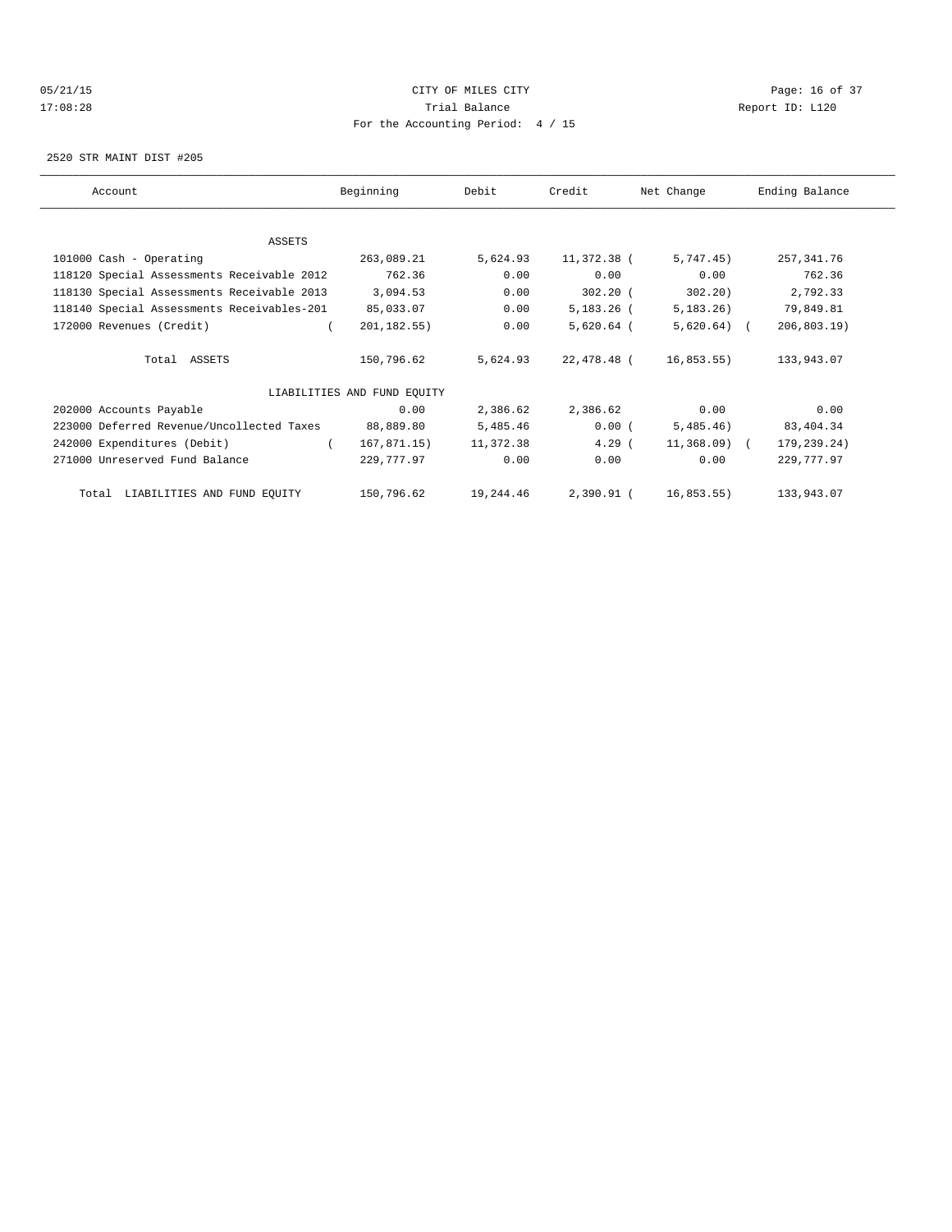# 05/21/15 **Page: 16 of 37** CITY OF MILES CITY **CITY Page: 16 of 37** 17:08:28 Trial Balance Report ID: L120 For the Accounting Period: 4 / 15

2520 STR MAINT DIST #205

| Account                                    | Beginning                   | Debit     | Credit       | Net Change    | Ending Balance  |
|--------------------------------------------|-----------------------------|-----------|--------------|---------------|-----------------|
|                                            |                             |           |              |               |                 |
| ASSETS                                     |                             |           |              |               |                 |
| 101000 Cash - Operating                    | 263,089.21                  | 5,624.93  | 11,372.38 (  | 5,747.45)     | 257, 341.76     |
| 118120 Special Assessments Receivable 2012 | 762.36                      | 0.00      | 0.00         | 0.00          | 762.36          |
| 118130 Special Assessments Receivable 2013 | 3,094.53                    | 0.00      | $302.20$ (   | 302.20        | 2,792.33        |
| 118140 Special Assessments Receivables-201 | 85,033.07                   | 0.00      | $5,183.26$ ( | 5,183.26)     | 79,849.81       |
| 172000 Revenues (Credit)                   | 201, 182.55)                | 0.00      | $5,620.64$ ( | $5,620.64$ (  | $206, 803.19$ ) |
| Total ASSETS                               | 150,796.62                  | 5,624.93  | 22,478.48 (  | 16,853.55)    | 133,943.07      |
|                                            | LIABILITIES AND FUND EQUITY |           |              |               |                 |
| 202000 Accounts Payable                    | 0.00                        | 2,386.62  | 2,386.62     | 0.00          | 0.00            |
| 223000 Deferred Revenue/Uncollected Taxes  | 88,889.80                   | 5,485.46  | 0.00(        | 5,485.46)     | 83,404.34       |
| 242000 Expenditures (Debit)<br>$\left($    | 167,871.15)                 | 11,372.38 | $4.29$ (     | $11,368.09$ ( | 179,239.24)     |
| 271000 Unreserved Fund Balance             | 229,777.97                  | 0.00      | 0.00         | 0.00          | 229,777.97      |
| Total LIABILITIES AND FUND EQUITY          | 150,796.62                  | 19,244.46 | 2,390.91 (   | 16,853.55)    | 133,943.07      |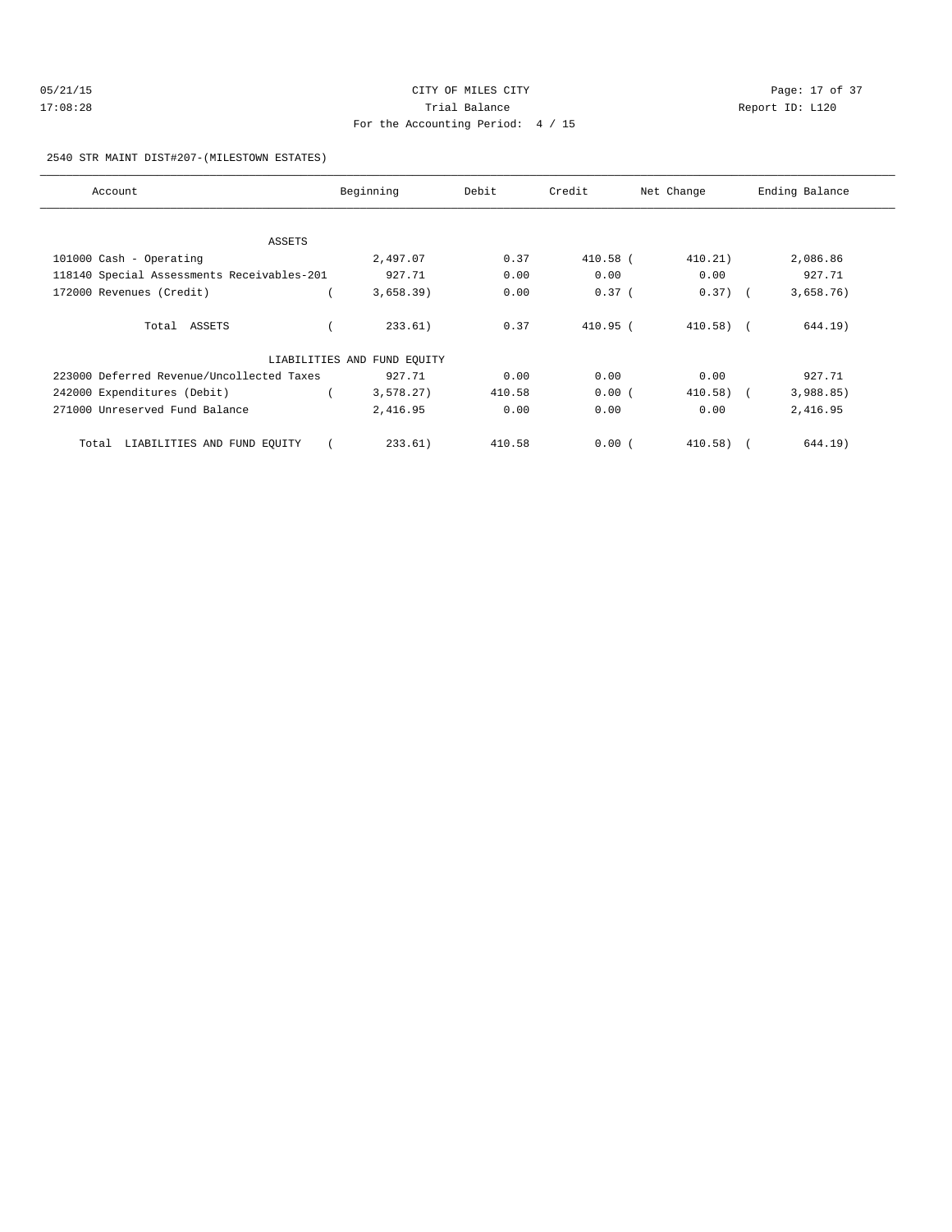| 05/21/15 | CITY OF MILES CITY                | Page: 17 of 37  |
|----------|-----------------------------------|-----------------|
| 17:08:28 | Trial Balance                     | Report ID: L120 |
|          | For the Accounting Period: 4 / 15 |                 |

2540 STR MAINT DIST#207-(MILESTOWN ESTATES)

| Account                                    | Beginning                   | Debit  | Credit     | Net Change   | Ending Balance |
|--------------------------------------------|-----------------------------|--------|------------|--------------|----------------|
|                                            |                             |        |            |              |                |
| ASSETS                                     |                             |        |            |              |                |
| 101000 Cash - Operating                    | 2,497.07                    | 0.37   | 410.58 (   | 410.21)      | 2,086.86       |
| 118140 Special Assessments Receivables-201 | 927.71                      | 0.00   | 0.00       | 0.00         | 927.71         |
| 172000 Revenues (Credit)                   | 3,658.39)                   | 0.00   | $0.37$ (   | $0.37)$ (    | 3,658.76)      |
| Total ASSETS                               | 233.61)                     | 0.37   | $410.95$ ( | $410.58$ ) ( | 644.19)        |
|                                            | LIABILITIES AND FUND EOUITY |        |            |              |                |
| 223000 Deferred Revenue/Uncollected Taxes  | 927.71                      | 0.00   | 0.00       | 0.00         | 927.71         |
| 242000 Expenditures (Debit)                | 3,578.27                    | 410.58 | 0.00(      | $410.58$ (   | 3,988.85)      |
| 271000 Unreserved Fund Balance             | 2,416.95                    | 0.00   | 0.00       | 0.00         | 2,416.95       |
| Total LIABILITIES AND FUND EQUITY          | 233.61)                     | 410.58 | 0.00(      | $410.58$ (   | 644.19)        |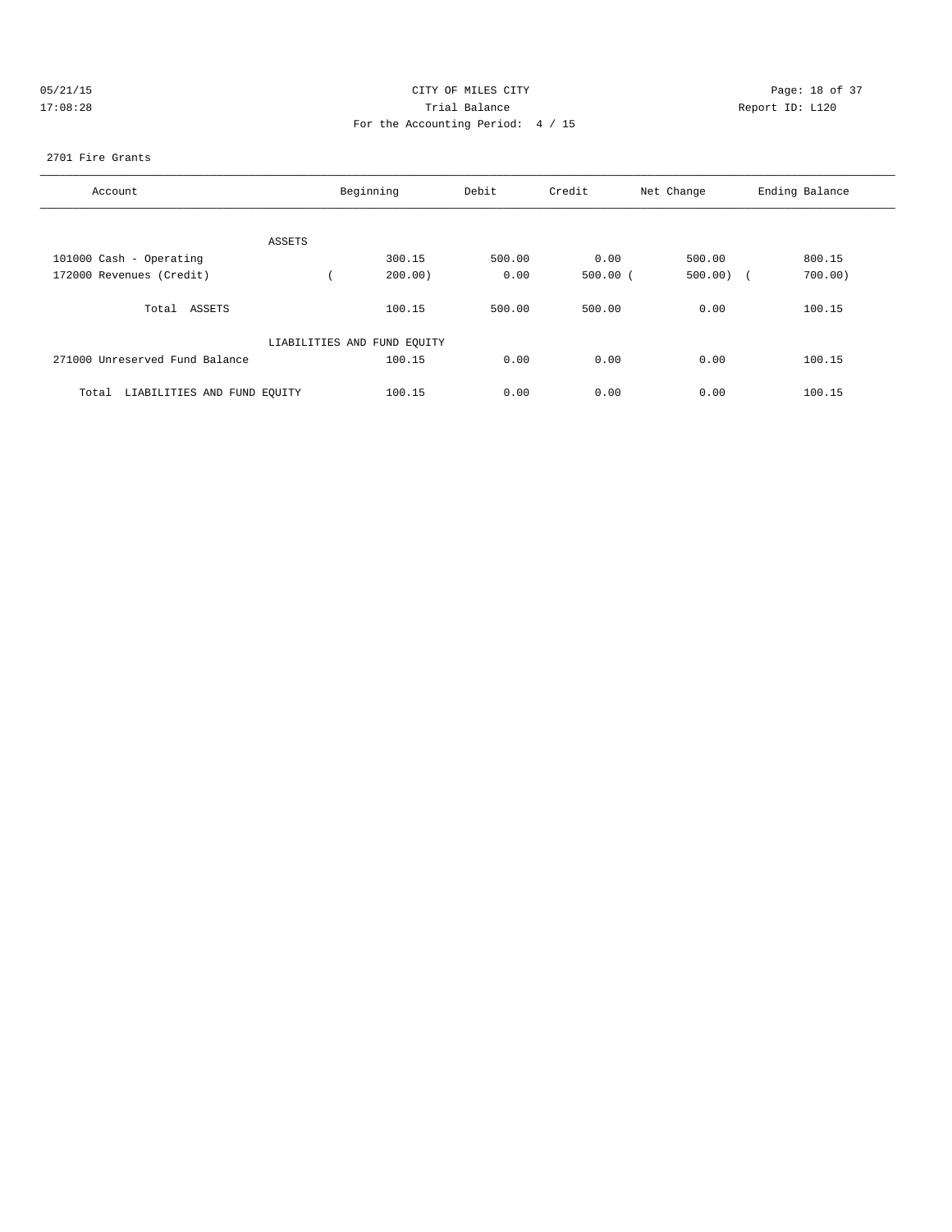| 05/21/1 |  |
|---------|--|
| 7:08:28 |  |

# CITY OF MILES CITY CONTROL CONTROL CONTROL CONTROL CITY 17:08:28 Report ID: L120 For the Accounting Period: 4 / 15

### 2701 Fire Grants

| Account                              | Beginning                   | Debit  | Credit     | Net Change | Ending Balance       |
|--------------------------------------|-----------------------------|--------|------------|------------|----------------------|
|                                      |                             |        |            |            |                      |
| ASSETS                               |                             |        |            |            |                      |
| 101000 Cash - Operating              | 300.15                      | 500.00 | 0.00       | 500.00     | 800.15               |
| 172000 Revenues (Credit)             | 200.00                      | 0.00   | $500.00$ ( | 500.00)    | 700.00<br>$\sqrt{2}$ |
| ASSETS<br>Total                      | 100.15                      | 500.00 | 500.00     | 0.00       | 100.15               |
|                                      | LIABILITIES AND FUND EQUITY |        |            |            |                      |
| 271000 Unreserved Fund Balance       | 100.15                      | 0.00   | 0.00       | 0.00       | 100.15               |
| LIABILITIES AND FUND EQUITY<br>Total | 100.15                      | 0.00   | 0.00       | 0.00       | 100.15               |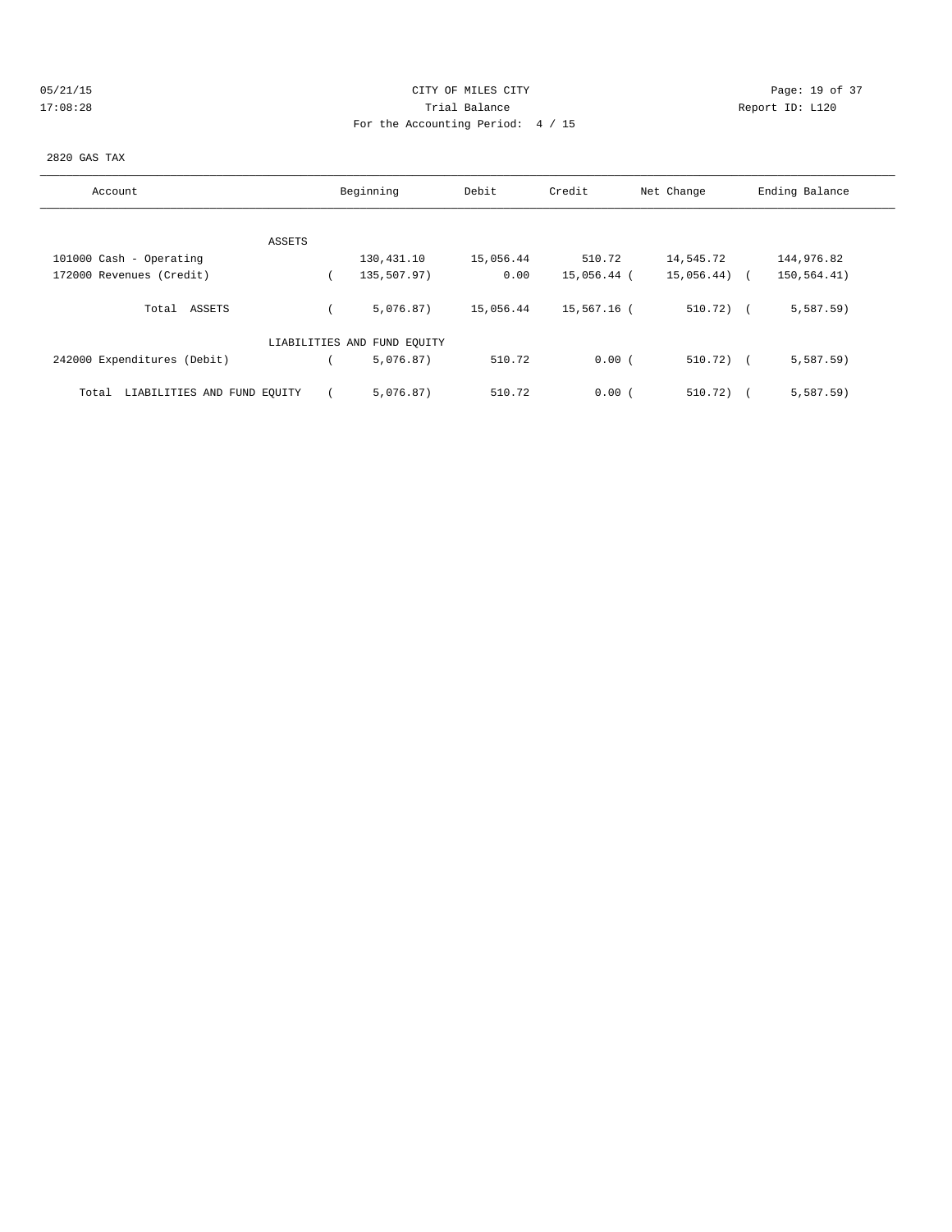# 05/21/15 **DESEMBLE CONSTRUSS CONSTRUSS ON A SET OF MILES CITY** CITY **Page: 19 of 37** 17:08:28 Trial Balance Report ID: L120 For the Accounting Period: 4 / 15

#### 2820 GAS TAX

| Account                              | Beginning                   | Debit     | Credit      | Net Change   | Ending Balance |
|--------------------------------------|-----------------------------|-----------|-------------|--------------|----------------|
|                                      |                             |           |             |              |                |
| ASSETS                               |                             |           |             |              |                |
| 101000 Cash - Operating              | 130,431.10                  | 15,056.44 | 510.72      | 14,545.72    | 144,976.82     |
| 172000 Revenues (Credit)             | 135,507.97)                 | 0.00      | 15,056.44 ( | 15,056.44)   | 150,564.41)    |
| Total ASSETS                         | 5.076.87)                   | 15,056.44 | 15,567.16 ( | $510.72$ ) ( | 5,587.59       |
|                                      | LIABILITIES AND FUND EQUITY |           |             |              |                |
| 242000 Expenditures (Debit)          | 5,076.87)                   | 510.72    | 0.00(       | $510.72)$ (  | 5,587.59       |
| LIABILITIES AND FUND EQUITY<br>Total | 5.076.87)                   | 510.72    | 0.00(       | 510.72)      | 5,587.59)      |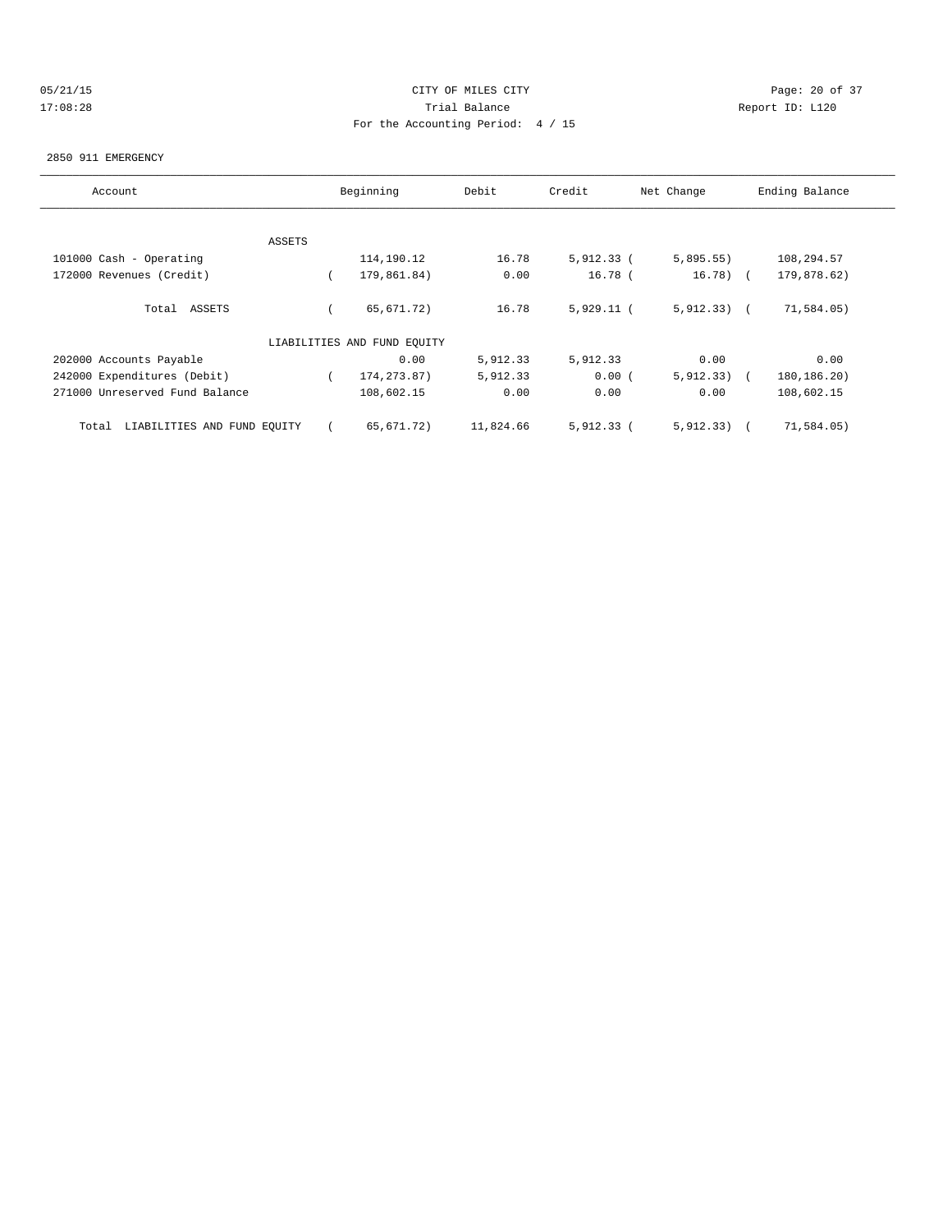# 05/21/15 **Page: 20 of 37** CITY OF MILES CITY **CITY Page: 20 of 37** 17:08:28 Trial Balance Report ID: L120 For the Accounting Period: 4 / 15

#### 2850 911 EMERGENCY

| Account                              |        | Beginning                   | Debit     | Credit       | Net Change    | Ending Balance |
|--------------------------------------|--------|-----------------------------|-----------|--------------|---------------|----------------|
|                                      |        |                             |           |              |               |                |
|                                      | ASSETS |                             |           |              |               |                |
| 101000 Cash - Operating              |        | 114,190.12                  | 16.78     | $5,912.33$ ( | 5,895.55)     | 108,294.57     |
| 172000 Revenues (Credit)             |        | 179,861.84)                 | 0.00      | $16.78$ (    | $16.78$ (     | 179,878.62)    |
| Total ASSETS                         |        | 65,671.72)                  | 16.78     | $5,929.11$ ( | $5,912.33)$ ( | 71,584.05)     |
|                                      |        | LIABILITIES AND FUND EQUITY |           |              |               |                |
| 202000 Accounts Payable              |        | 0.00                        | 5,912.33  | 5,912.33     | 0.00          | 0.00           |
| 242000 Expenditures (Debit)          |        | 174, 273.87)                | 5,912.33  | 0.00(        | 5,912,33)     | 180,186.20)    |
| 271000 Unreserved Fund Balance       |        | 108,602.15                  | 0.00      | 0.00         | 0.00          | 108,602.15     |
| LIABILITIES AND FUND EQUITY<br>Total |        | 65,671.72)                  | 11,824.66 | $5,912.33$ ( | 5, 912, 33)   | 71,584.05)     |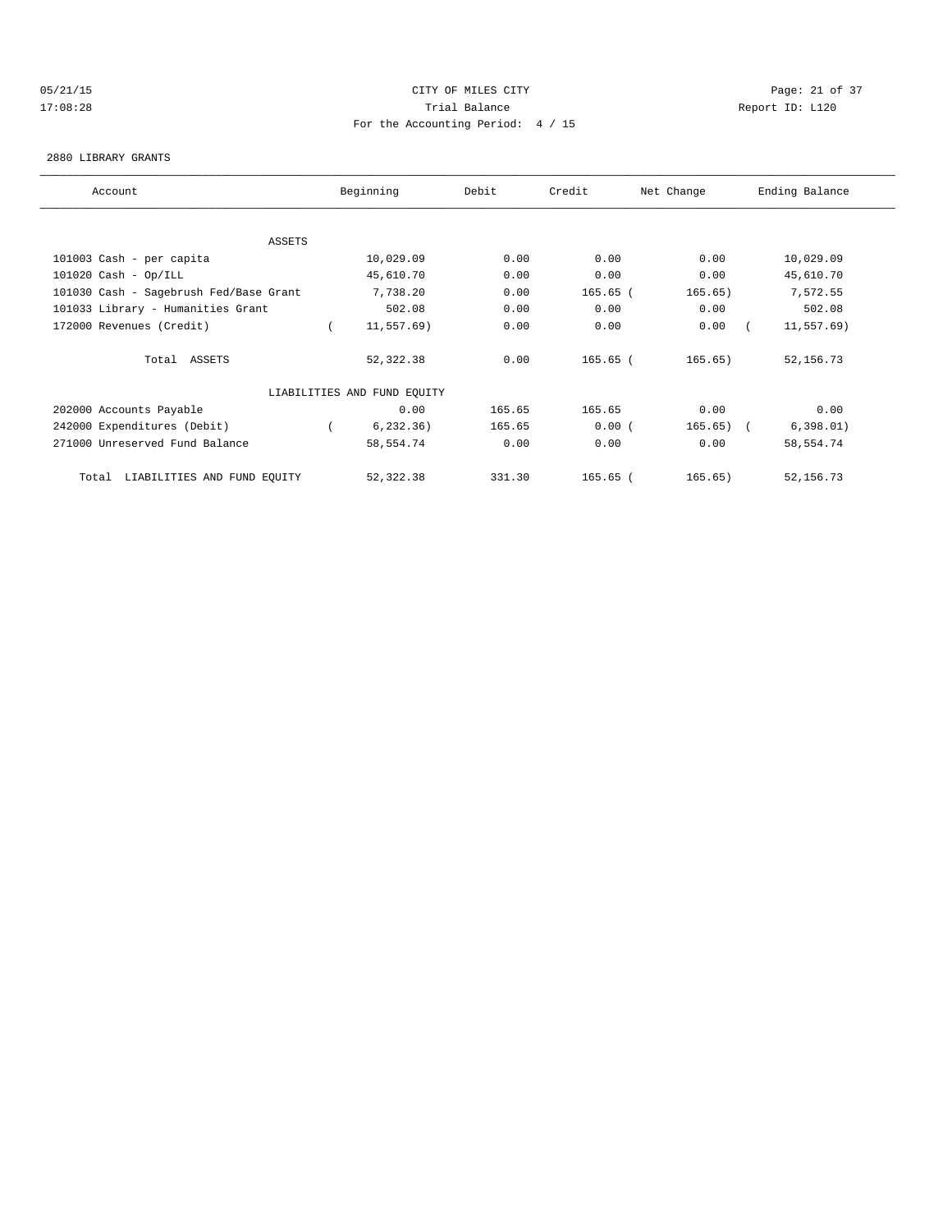# 05/21/15 Page: 21 of 37 17:08:28 Trial Balance Report ID: L120 For the Accounting Period: 4 / 15

#### 2880 LIBRARY GRANTS

| Account                                | Beginning                   | Debit  | Credit     | Net Change  | Ending Balance |
|----------------------------------------|-----------------------------|--------|------------|-------------|----------------|
|                                        |                             |        |            |             |                |
| ASSETS                                 |                             |        |            |             |                |
| 101003 Cash - per capita               | 10,029.09                   | 0.00   | 0.00       | 0.00        | 10,029.09      |
| $101020$ Cash - Op/ILL                 | 45,610.70                   | 0.00   | 0.00       | 0.00        | 45,610.70      |
| 101030 Cash - Sagebrush Fed/Base Grant | 7,738.20                    | 0.00   | $165.65$ ( | 165.65)     | 7,572.55       |
| 101033 Library - Humanities Grant      | 502.08                      | 0.00   | 0.00       | 0.00        | 502.08         |
| 172000 Revenues (Credit)               | 11,557.69)                  | 0.00   | 0.00       | 0.00        | 11,557.69)     |
| Total ASSETS                           | 52,322.38                   | 0.00   | 165.65 (   | 165.65)     | 52,156.73      |
|                                        | LIABILITIES AND FUND EQUITY |        |            |             |                |
| 202000 Accounts Payable                | 0.00                        | 165.65 | 165.65     | 0.00        | 0.00           |
| 242000 Expenditures (Debit)            | 6, 232.36)                  | 165.65 | 0.00(      | $165.65)$ ( | 6,398.01)      |
| 271000 Unreserved Fund Balance         | 58,554.74                   | 0.00   | 0.00       | 0.00        | 58,554.74      |
| LIABILITIES AND FUND EQUITY<br>Total   | 52, 322.38                  | 331.30 | $165.65$ ( | 165.65)     | 52,156.73      |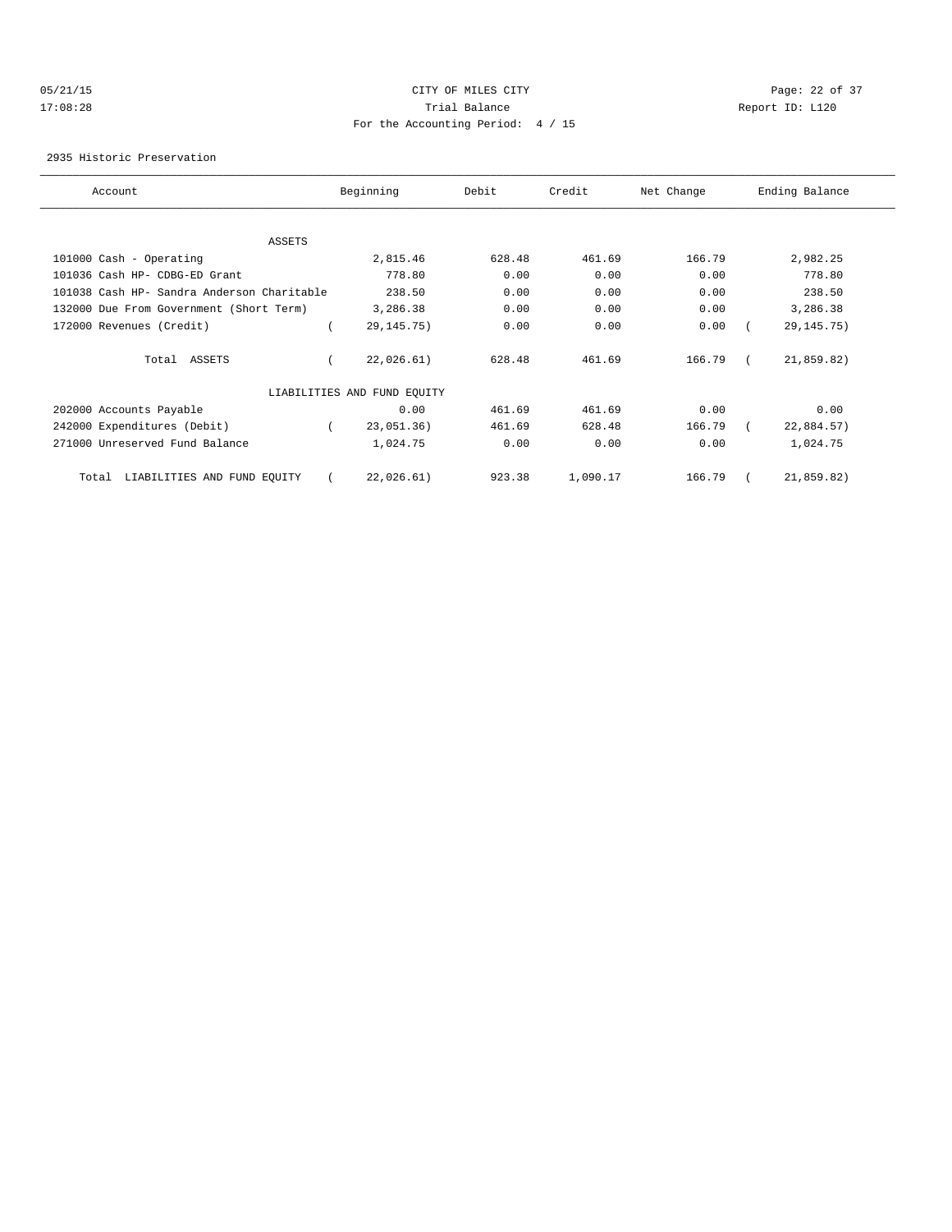### 05/21/15 **Page: 22 of 37** CITY OF MILES CITY **CITY Page: 22 of 37** 17:08:28 Trial Balance Report ID: L120 For the Accounting Period: 4 / 15

2935 Historic Preservation

| Account                                    | Beginning                   | Debit  | Credit   | Net Change | Ending Balance |
|--------------------------------------------|-----------------------------|--------|----------|------------|----------------|
|                                            |                             |        |          |            |                |
| ASSETS                                     |                             |        |          |            |                |
| 101000 Cash - Operating                    | 2,815.46                    | 628.48 | 461.69   | 166.79     | 2,982.25       |
| 101036 Cash HP- CDBG-ED Grant              | 778.80                      | 0.00   | 0.00     | 0.00       | 778.80         |
| 101038 Cash HP- Sandra Anderson Charitable | 238.50                      | 0.00   | 0.00     | 0.00       | 238.50         |
| 132000 Due From Government (Short Term)    | 3,286.38                    | 0.00   | 0.00     | 0.00       | 3,286.38       |
| 172000 Revenues (Credit)                   | 29, 145. 75)                | 0.00   | 0.00     | 0.00       | 29, 145. 75)   |
| Total ASSETS                               | 22,026.61)                  | 628.48 | 461.69   | 166.79     | 21,859.82)     |
|                                            | LIABILITIES AND FUND EQUITY |        |          |            |                |
| 202000 Accounts Payable                    | 0.00                        | 461.69 | 461.69   | 0.00       | 0.00           |
| 242000 Expenditures (Debit)                | 23,051.36)                  | 461.69 | 628.48   | 166.79     | 22,884.57)     |
| 271000 Unreserved Fund Balance             | 1,024.75                    | 0.00   | 0.00     | 0.00       | 1,024.75       |
| LIABILITIES AND FUND EQUITY<br>Total       | 22,026.61)                  | 923.38 | 1,090.17 | 166.79     | 21,859.82)     |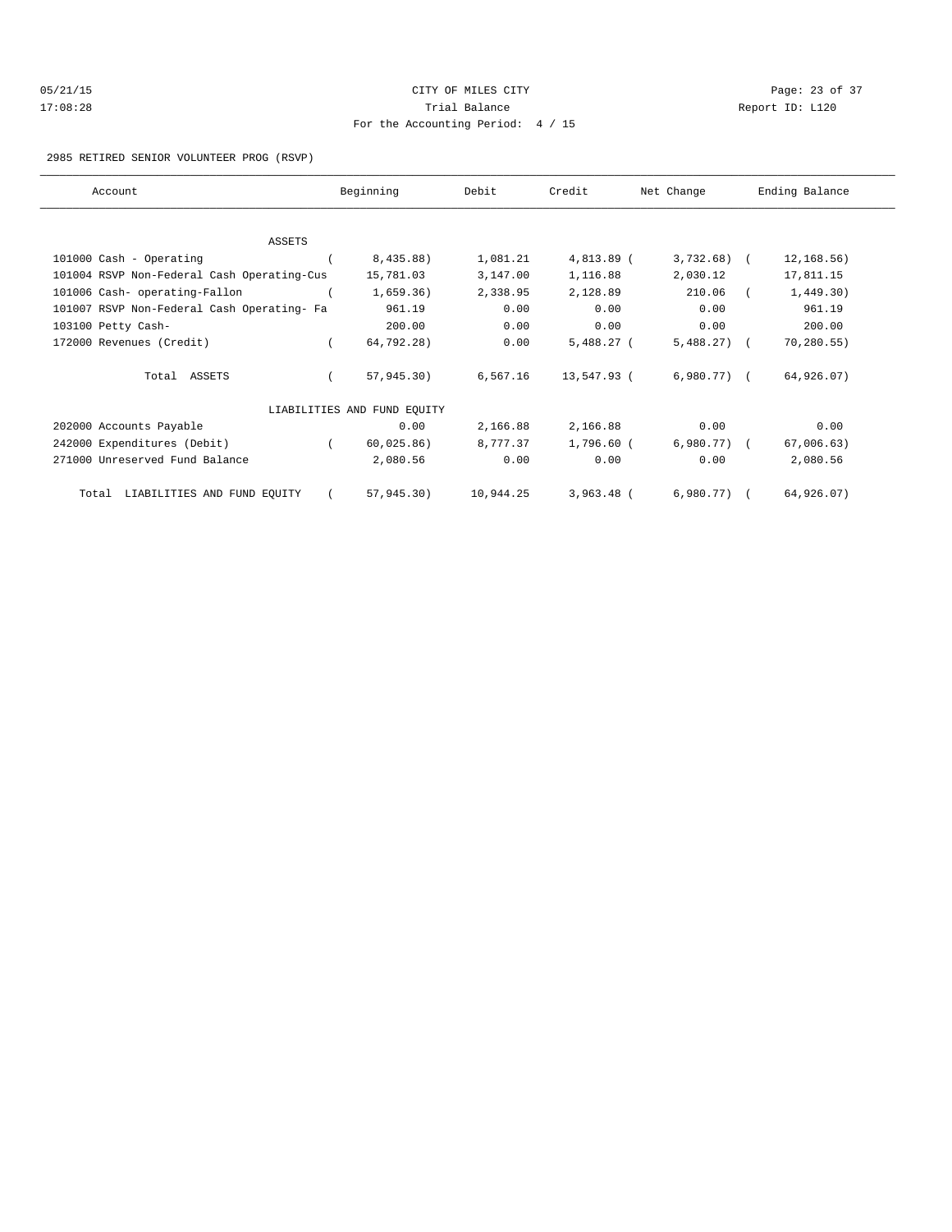| 05/21/15 | CITY OF MILES CITY                | Page: $23$ o    |
|----------|-----------------------------------|-----------------|
| 17:08:28 | Trial Balance                     | Report ID: L120 |
|          | For the Accounting Period: 4 / 15 |                 |

Page: 23 of 37

### 2985 RETIRED SENIOR VOLUNTEER PROG (RSVP)

| Account                                    |          | Beginning                   | Debit     | Credit       | Net Change     | Ending Balance |             |  |
|--------------------------------------------|----------|-----------------------------|-----------|--------------|----------------|----------------|-------------|--|
|                                            |          |                             |           |              |                |                |             |  |
| ASSETS                                     |          |                             |           |              |                |                |             |  |
| 101000 Cash - Operating                    |          | 8,435.88)                   | 1,081.21  | 4,813.89 (   | 3,732.68) (    |                | 12, 168.56) |  |
| 101004 RSVP Non-Federal Cash Operating-Cus |          | 15,781.03                   | 3,147.00  | 1,116.88     | 2,030.12       |                | 17,811.15   |  |
| 101006 Cash- operating-Fallon              |          | 1,659.36)                   | 2,338.95  | 2,128.89     | 210.06         |                | 1,449.30)   |  |
| 101007 RSVP Non-Federal Cash Operating- Fa |          | 961.19                      | 0.00      | 0.00         | 0.00           |                | 961.19      |  |
| 103100 Petty Cash-                         |          | 200.00                      | 0.00      | 0.00         | 0.00           |                | 200.00      |  |
| 172000 Revenues (Credit)                   |          | 64,792.28)                  | 0.00      | $5,488.27$ ( | $5,488,27$ (   |                | 70, 280.55) |  |
| Total ASSETS                               |          | 57,945.30)                  | 6,567.16  | 13,547.93 (  | $6,980.77$ ) ( |                | 64,926.07)  |  |
|                                            |          | LIABILITIES AND FUND EQUITY |           |              |                |                |             |  |
| 202000 Accounts Payable                    |          | 0.00                        | 2,166.88  | 2,166.88     | 0.00           |                | 0.00        |  |
| 242000 Expenditures (Debit)                | $\left($ | 60,025.86)                  | 8,777.37  | 1,796.60 (   | $6,980.77$ ) ( |                | 67,006.63)  |  |
| 271000 Unreserved Fund Balance             |          | 2,080.56                    | 0.00      | 0.00         | 0.00           |                | 2,080.56    |  |
| Total LIABILITIES AND FUND EQUITY          |          | 57,945.30)                  | 10,944.25 | $3,963.48$ ( | $6,980.77$ ) ( |                | 64,926.07)  |  |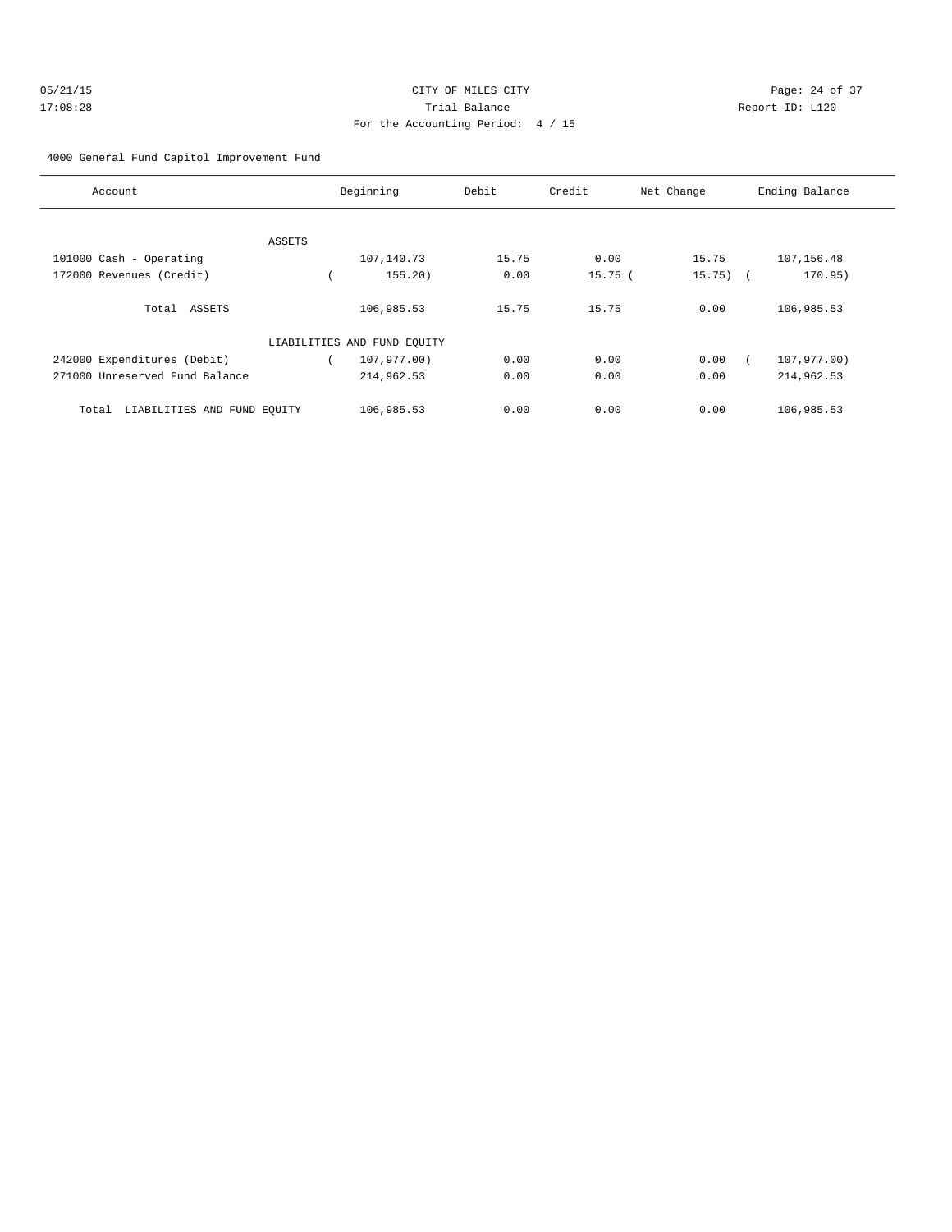| 05/21/15 | CITY OF MILES CITY                | Page: 24 of 37  |
|----------|-----------------------------------|-----------------|
| 17:08:28 | Trial Balance                     | Report ID: L120 |
|          | For the Accounting Period: 4 / 15 |                 |

4000 General Fund Capitol Improvement Fund

| Account                              |        | Beginning                   | Debit | Credit | Net Change | Ending Balance |
|--------------------------------------|--------|-----------------------------|-------|--------|------------|----------------|
|                                      |        |                             |       |        |            |                |
|                                      | ASSETS |                             |       |        |            |                |
| 101000 Cash - Operating              |        | 107,140.73                  | 15.75 | 0.00   | 15.75      | 107, 156.48    |
| 172000 Revenues (Credit)             |        | 155.20                      | 0.00  | 15.75( | $15.75)$ ( | 170.95)        |
| Total ASSETS                         |        | 106,985.53                  | 15.75 | 15.75  | 0.00       | 106,985.53     |
|                                      |        | LIABILITIES AND FUND EQUITY |       |        |            |                |
| 242000 Expenditures (Debit)          |        | 107,977.00)                 | 0.00  | 0.00   | 0.00       | 107,977.00)    |
| 271000 Unreserved Fund Balance       |        | 214,962.53                  | 0.00  | 0.00   | 0.00       | 214,962.53     |
| LIABILITIES AND FUND EQUITY<br>Total |        | 106,985.53                  | 0.00  | 0.00   | 0.00       | 106,985.53     |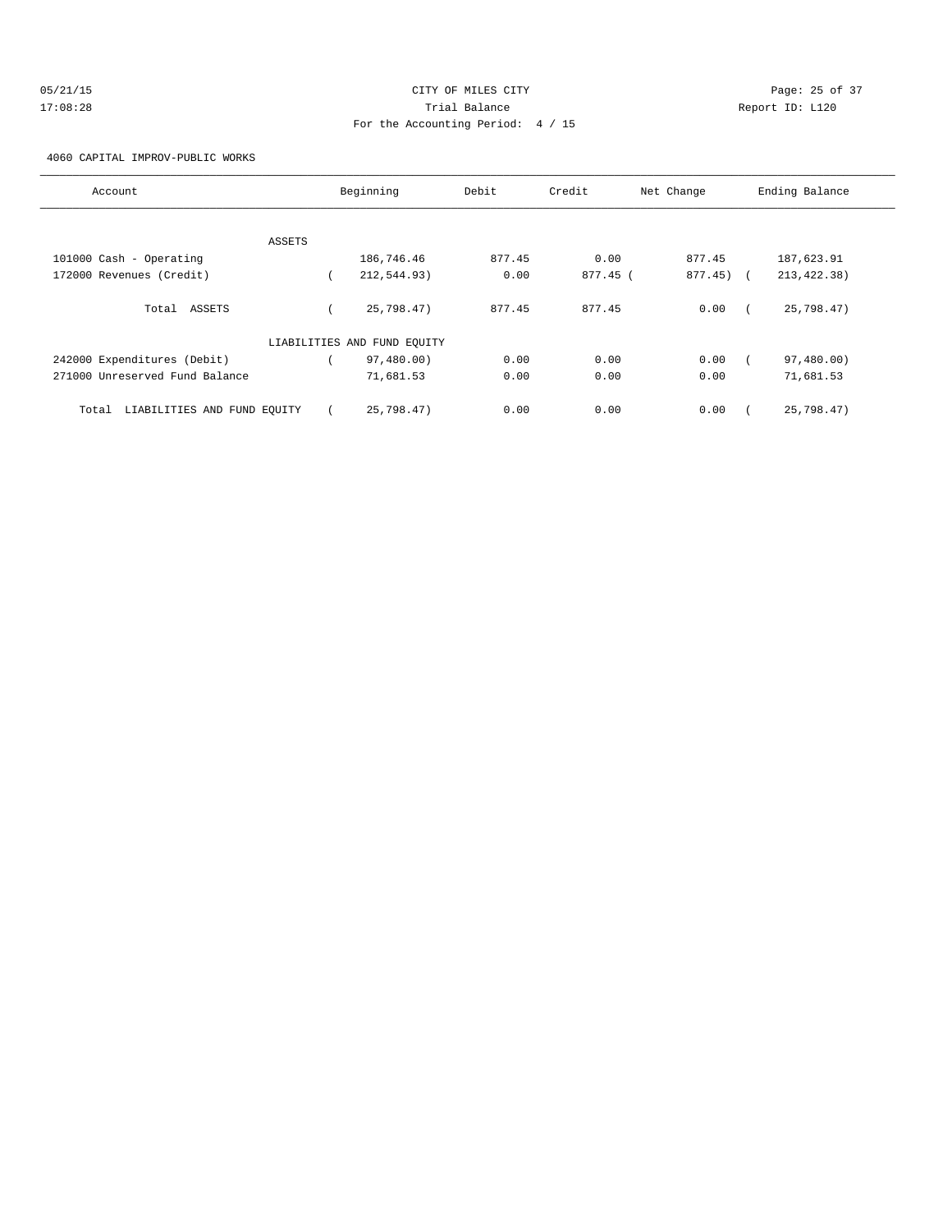| 05/21/15 | CITY OF MILES CITY                |                 | Page: 25 of 37 |
|----------|-----------------------------------|-----------------|----------------|
| 17:08:28 | Trial Balance                     | Report ID: L120 |                |
|          | For the Accounting Period: 4 / 15 |                 |                |

4060 CAPITAL IMPROV-PUBLIC WORKS

| Account                              | Beginning                   | Debit  | Credit   | Net Change | Ending Balance |
|--------------------------------------|-----------------------------|--------|----------|------------|----------------|
|                                      |                             |        |          |            |                |
| ASSETS                               |                             |        |          |            |                |
| 101000 Cash - Operating              | 186,746.46                  | 877.45 | 0.00     | 877.45     | 187,623.91     |
| 172000 Revenues (Credit)             | 212,544.93)                 | 0.00   | 877.45 ( | 877.45) (  | 213, 422.38)   |
| Total ASSETS                         | 25.798.47                   | 877.45 | 877.45   | 0.00       | 25,798.47)     |
|                                      | LIABILITIES AND FUND EQUITY |        |          |            |                |
| 242000 Expenditures (Debit)          | 97,480.00)                  | 0.00   | 0.00     | 0.00       | 97,480.00)     |
| 271000 Unreserved Fund Balance       | 71,681.53                   | 0.00   | 0.00     | 0.00       | 71,681.53      |
| LIABILITIES AND FUND EQUITY<br>Total | 25,798.47)                  | 0.00   | 0.00     | 0.00       | 25,798.47)     |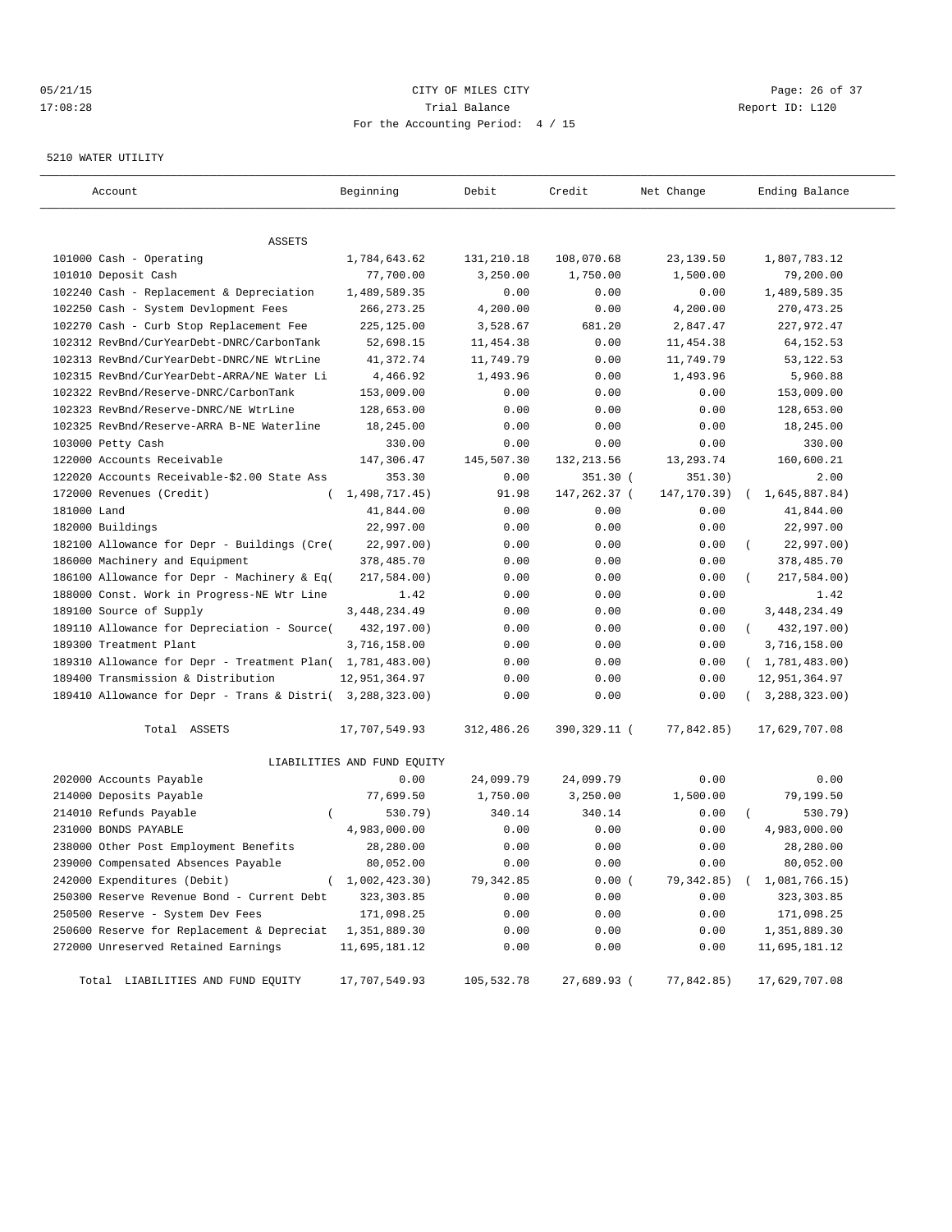# 05/21/15 **Page: 26 of 37** CITY OF MILES CITY **CITY Page: 26 of 37** 17:08:28 Trial Balance Report ID: L120 For the Accounting Period: 4 / 15

#### 5210 WATER UTILITY

| Account                                                   | Beginning                   | Debit      | Credit       | Net Change  | Ending Balance              |
|-----------------------------------------------------------|-----------------------------|------------|--------------|-------------|-----------------------------|
|                                                           |                             |            |              |             |                             |
| ASSETS                                                    |                             |            |              |             |                             |
| 101000 Cash - Operating                                   | 1,784,643.62                | 131,210.18 | 108,070.68   | 23,139.50   | 1,807,783.12                |
| 101010 Deposit Cash                                       | 77,700.00                   | 3,250.00   | 1,750.00     | 1,500.00    | 79,200.00                   |
| 102240 Cash - Replacement & Depreciation                  | 1,489,589.35                | 0.00       | 0.00         | 0.00        | 1,489,589.35                |
| 102250 Cash - System Devlopment Fees                      | 266, 273. 25                | 4,200.00   | 0.00         | 4,200.00    | 270, 473.25                 |
| 102270 Cash - Curb Stop Replacement Fee                   | 225,125.00                  | 3,528.67   | 681.20       | 2,847.47    | 227,972.47                  |
| 102312 RevBnd/CurYearDebt-DNRC/CarbonTank                 | 52,698.15                   | 11,454.38  | 0.00         | 11,454.38   | 64, 152.53                  |
| 102313 RevBnd/CurYearDebt-DNRC/NE WtrLine                 | 41,372.74                   | 11,749.79  | 0.00         | 11,749.79   | 53, 122. 53                 |
| 102315 RevBnd/CurYearDebt-ARRA/NE Water Li                | 4,466.92                    | 1,493.96   | 0.00         | 1,493.96    | 5,960.88                    |
| 102322 RevBnd/Reserve-DNRC/CarbonTank                     | 153,009.00                  | 0.00       | 0.00         | 0.00        | 153,009.00                  |
| 102323 RevBnd/Reserve-DNRC/NE WtrLine                     | 128,653.00                  | 0.00       | 0.00         | 0.00        | 128,653.00                  |
| 102325 RevBnd/Reserve-ARRA B-NE Waterline                 | 18,245.00                   | 0.00       | 0.00         | 0.00        | 18,245.00                   |
| 103000 Petty Cash                                         | 330.00                      | 0.00       | 0.00         | 0.00        | 330.00                      |
| 122000 Accounts Receivable                                | 147,306.47                  | 145,507.30 | 132, 213.56  | 13,293.74   | 160,600.21                  |
| 122020 Accounts Receivable-\$2.00 State Ass               | 353.30                      | 0.00       | 351.30 (     | 351.30)     | 2.00                        |
| 172000 Revenues (Credit)                                  | 1,498,717.45)               | 91.98      | 147,262.37 ( | 147,170.39) | 1,645,887.84)<br>$\left($   |
| 181000 Land                                               | 41,844.00                   | 0.00       | 0.00         | 0.00        | 41,844.00                   |
| 182000 Buildings                                          | 22,997.00                   | 0.00       | 0.00         | 0.00        | 22,997.00                   |
| 182100 Allowance for Depr - Buildings (Cre(               | 22,997.00)                  | 0.00       | 0.00         | 0.00        | 22,997.00)                  |
| 186000 Machinery and Equipment                            | 378,485.70                  | 0.00       | 0.00         | 0.00        | 378,485.70                  |
| 186100 Allowance for Depr - Machinery & Eq(               | 217,584.00)                 | 0.00       | 0.00         | 0.00        | 217,584.00)                 |
| 188000 Const. Work in Progress-NE Wtr Line                | 1.42                        | 0.00       | 0.00         | 0.00        | 1.42                        |
| 189100 Source of Supply                                   | 3, 448, 234.49              | 0.00       | 0.00         | 0.00        | 3, 448, 234.49              |
| 189110 Allowance for Depreciation - Source(               | 432,197.00)                 | 0.00       | 0.00         | 0.00        | 432,197.00)<br>$\left($     |
| 189300 Treatment Plant                                    | 3,716,158.00                | 0.00       | 0.00         | 0.00        | 3,716,158.00                |
| 189310 Allowance for Depr - Treatment Plan( 1,781,483.00) |                             | 0.00       | 0.00         | 0.00        | (1, 781, 483.00)            |
| 189400 Transmission & Distribution                        | 12,951,364.97               | 0.00       | 0.00         | 0.00        | 12,951,364.97               |
| 189410 Allowance for Depr - Trans & Distri( 3,288,323.00) |                             | 0.00       | 0.00         | 0.00        | (3, 288, 323.00)            |
| Total ASSETS                                              | 17,707,549.93               | 312,486.26 | 390,329.11 ( | 77,842.85)  | 17,629,707.08               |
|                                                           | LIABILITIES AND FUND EQUITY |            |              |             |                             |
| 202000 Accounts Payable                                   | 0.00                        | 24,099.79  | 24,099.79    | 0.00        | 0.00                        |
| 214000 Deposits Payable                                   | 77,699.50                   | 1,750.00   | 3,250.00     | 1,500.00    | 79,199.50                   |
| 214010 Refunds Payable<br>$\left($                        | 530.79)                     | 340.14     | 340.14       | 0.00        | 530.79)                     |
| 231000 BONDS PAYABLE                                      | 4,983,000.00                | 0.00       | 0.00         | 0.00        | 4,983,000.00                |
| 238000 Other Post Employment Benefits                     | 28,280.00                   | 0.00       | 0.00         | 0.00        | 28,280.00                   |
| 239000 Compensated Absences Payable                       | 80,052.00                   | 0.00       | 0.00         | 0.00        | 80,052.00                   |
| 242000 Expenditures (Debit)<br>$\left($                   | 1,002,423.30)               | 79,342.85  | 0.00(        | 79,342.85)  | 1,081,766.15)<br>$\sqrt{2}$ |
| 250300 Reserve Revenue Bond - Current Debt                | 323, 303.85                 | 0.00       | 0.00         | 0.00        | 323,303.85                  |
| 250500 Reserve - System Dev Fees                          | 171,098.25                  | 0.00       | 0.00         | 0.00        | 171,098.25                  |
| 250600 Reserve for Replacement & Depreciat                | 1,351,889.30                | 0.00       | 0.00         | 0.00        | 1,351,889.30                |
| 272000 Unreserved Retained Earnings                       | 11,695,181.12               | 0.00       | 0.00         | 0.00        | 11,695,181.12               |
| Total LIABILITIES AND FUND EQUITY                         | 17,707,549.93               | 105,532.78 | 27,689.93 (  | 77,842.85)  | 17,629,707.08               |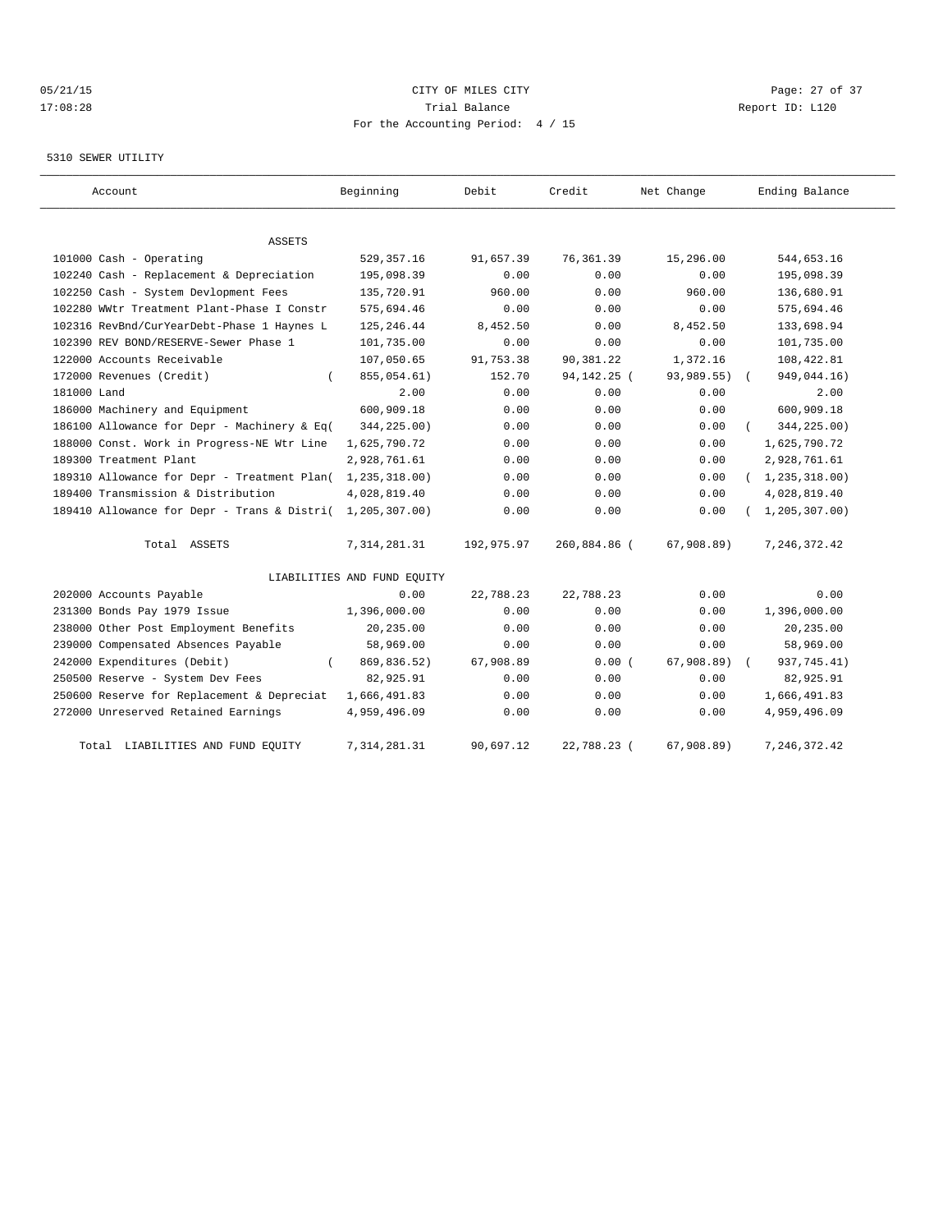# 05/21/15 **DESEMBLE CREAM CONTROL** CONTROL CONTROL CONTROL CONTROL CONTROL CONTROL CONTROL CONTROL CONTROL CONTROL CONTROL CONTROL CONTROL CONTROL CONTROL CONTROL CONTROL CONTROL CONTROL CONTROL CONTROL CONTROL CONTROL CONT 17:08:28 Trial Balance Report ID: L120 For the Accounting Period: 4 / 15

#### 5310 SEWER UTILITY

| Account                                     | Beginning                   | Debit      | Credit        | Net Change | Ending Balance   |
|---------------------------------------------|-----------------------------|------------|---------------|------------|------------------|
|                                             |                             |            |               |            |                  |
| ASSETS                                      |                             |            |               |            |                  |
| 101000 Cash - Operating                     | 529, 357. 16                | 91,657.39  | 76, 361.39    | 15,296.00  | 544,653.16       |
| 102240 Cash - Replacement & Depreciation    | 195,098.39                  | 0.00       | 0.00          | 0.00       | 195,098.39       |
| 102250 Cash - System Devlopment Fees        | 135,720.91                  | 960.00     | 0.00          | 960.00     | 136,680.91       |
| 102280 WWtr Treatment Plant-Phase I Constr  | 575,694.46                  | 0.00       | 0.00          | 0.00       | 575,694.46       |
| 102316 RevBnd/CurYearDebt-Phase 1 Haynes L  | 125, 246.44                 | 8,452.50   | 0.00          | 8,452.50   | 133,698.94       |
| 102390 REV BOND/RESERVE-Sewer Phase 1       | 101,735.00                  | 0.00       | 0.00          | 0.00       | 101,735.00       |
| 122000 Accounts Receivable                  | 107,050.65                  | 91,753.38  | 90,381.22     | 1,372.16   | 108,422.81       |
| 172000 Revenues (Credit)                    | 855,054.61)                 | 152.70     | 94, 142. 25 ( | 93,989.55) | 949,044.16)      |
| 181000 Land                                 | 2.00                        | 0.00       | 0.00          | 0.00       | 2.00             |
| 186000 Machinery and Equipment              | 600,909.18                  | 0.00       | 0.00          | 0.00       | 600,909.18       |
| 186100 Allowance for Depr - Machinery & Eq( | 344,225.00)                 | 0.00       | 0.00          | 0.00       | 344,225.00)      |
| 188000 Const. Work in Progress-NE Wtr Line  | 1,625,790.72                | 0.00       | 0.00          | 0.00       | 1,625,790.72     |
| 189300 Treatment Plant                      | 2,928,761.61                | 0.00       | 0.00          | 0.00       | 2,928,761.61     |
| 189310 Allowance for Depr - Treatment Plan( | 1,235,318.00)               | 0.00       | 0.00          | 0.00       | (1, 235, 318.00) |
| 189400 Transmission & Distribution          | 4,028,819.40                | 0.00       | 0.00          | 0.00       | 4,028,819.40     |
| 189410 Allowance for Depr - Trans & Distri( | 1,205,307.00)               | 0.00       | 0.00          | 0.00       | 1, 205, 307.00   |
| Total ASSETS                                | 7, 314, 281.31              | 192,975.97 | 260,884.86 (  | 67,908.89) | 7, 246, 372.42   |
|                                             | LIABILITIES AND FUND EQUITY |            |               |            |                  |
| 202000 Accounts Payable                     | 0.00                        | 22,788.23  | 22,788.23     | 0.00       | 0.00             |
| 231300 Bonds Pay 1979 Issue                 | 1,396,000.00                | 0.00       | 0.00          | 0.00       | 1,396,000.00     |
| 238000 Other Post Employment Benefits       | 20,235.00                   | 0.00       | 0.00          | 0.00       | 20,235.00        |
| 239000 Compensated Absences Payable         | 58,969.00                   | 0.00       | 0.00          | 0.00       | 58,969.00        |
| 242000 Expenditures (Debit)                 | 869,836.52)                 | 67,908.89  | 0.00(         | 67,908.89) | 937, 745.41)     |
| 250500 Reserve - System Dev Fees            | 82,925.91                   | 0.00       | 0.00          | 0.00       | 82,925.91        |
| 250600 Reserve for Replacement & Depreciat  | 1,666,491.83                | 0.00       | 0.00          | 0.00       | 1,666,491.83     |
| 272000 Unreserved Retained Earnings         | 4,959,496.09                | 0.00       | 0.00          | 0.00       | 4,959,496.09     |
| LIABILITIES AND FUND EQUITY<br>Total        | 7, 314, 281.31              | 90,697.12  | 22,788.23 (   | 67,908.89) | 7, 246, 372.42   |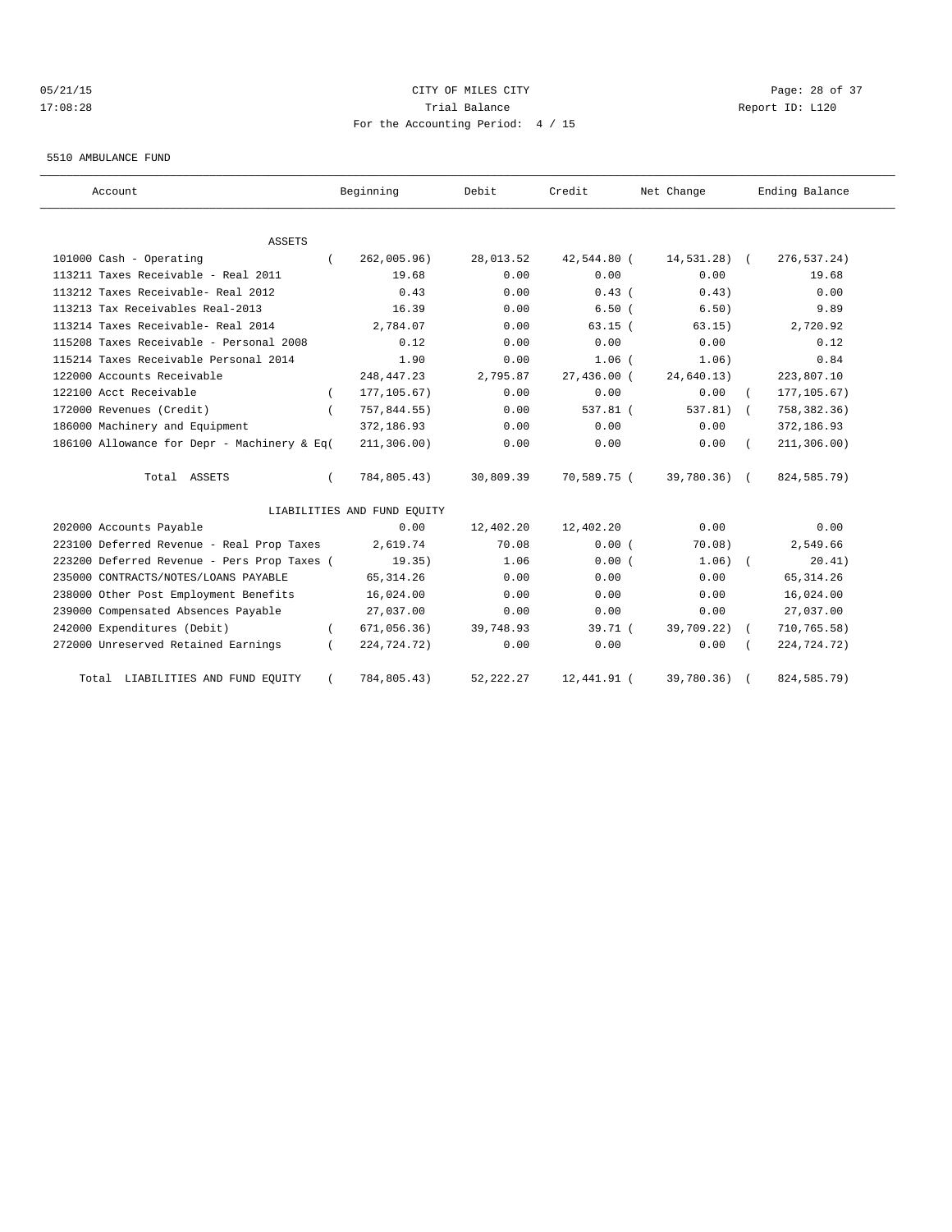# 05/21/15 **Page: 28 of 37** CITY OF MILES CITY **CITY Page: 28 of 37** 17:08:28 Trial Balance Report ID: L120 For the Accounting Period: 4 / 15

#### 5510 AMBULANCE FUND

| Account                                     | Beginning                   | Debit       | Credit      | Net Change    | Ending Balance             |
|---------------------------------------------|-----------------------------|-------------|-------------|---------------|----------------------------|
| <b>ASSETS</b>                               |                             |             |             |               |                            |
| 101000 Cash - Operating                     | 262,005.96)                 | 28,013.52   | 42,544.80 ( | $14,531.28$ ( | 276,537.24)                |
| 113211 Taxes Receivable - Real 2011         | 19.68                       | 0.00        | 0.00        | 0.00          | 19.68                      |
| 113212 Taxes Receivable- Real 2012          | 0.43                        | 0.00        | $0.43$ (    | 0.43)         | 0.00                       |
| 113213 Tax Receivables Real-2013            | 16.39                       | 0.00        | 6.50(       | 6.50)         | 9.89                       |
| 113214 Taxes Receivable- Real 2014          | 2,784.07                    | 0.00        | $63.15$ (   | 63.15)        | 2,720.92                   |
| 115208 Taxes Receivable - Personal 2008     | 0.12                        | 0.00        | 0.00        | 0.00          | 0.12                       |
| 115214 Taxes Receivable Personal 2014       | 1.90                        | 0.00        | 1.06(       | 1.06)         | 0.84                       |
| 122000 Accounts Receivable                  | 248, 447. 23                | 2,795.87    | 27,436.00 ( | 24,640.13)    | 223,807.10                 |
| 122100 Acct Receivable                      | 177, 105.67)                | 0.00        | 0.00        | 0.00          | 177, 105.67)               |
| 172000 Revenues (Credit)                    | 757,844.55)                 | 0.00        | 537.81 (    | 537.81)       | 758, 382.36)<br>$\sqrt{2}$ |
| 186000 Machinery and Equipment              | 372,186.93                  | 0.00        | 0.00        | 0.00          | 372,186.93                 |
| 186100 Allowance for Depr - Machinery & Eq( | 211, 306.00)                | 0.00        | 0.00        | 0.00          | 211, 306.00)               |
| Total ASSETS                                | 784,805.43)                 | 30,809.39   | 70,589.75 ( | 39,780.36) (  | 824,585.79)                |
|                                             | LIABILITIES AND FUND EQUITY |             |             |               |                            |
| 202000 Accounts Payable                     | 0.00                        | 12,402.20   | 12,402.20   | 0.00          | 0.00                       |
| 223100 Deferred Revenue - Real Prop Taxes   | 2,619.74                    | 70.08       | 0.00(       | 70.08)        | 2,549.66                   |
| 223200 Deferred Revenue - Pers Prop Taxes ( | 19.35)                      | 1.06        | 0.00(       | $1.06$ ) $($  | 20.41)                     |
| 235000 CONTRACTS/NOTES/LOANS PAYABLE        | 65, 314.26                  | 0.00        | 0.00        | 0.00          | 65, 314.26                 |
| 238000 Other Post Employment Benefits       | 16,024.00                   | 0.00        | 0.00        | 0.00          | 16,024.00                  |
| 239000 Compensated Absences Payable         | 27,037.00                   | 0.00        | 0.00        | 0.00          | 27,037.00                  |
| 242000 Expenditures (Debit)                 | 671,056.36)                 | 39,748.93   | 39.71(      | 39,709.22)    | 710, 765.58)               |
| 272000 Unreserved Retained Earnings         | 224,724.72)                 | 0.00        | 0.00        | 0.00          | 224,724.72)                |
| LIABILITIES AND FUND EQUITY<br>Total        | 784,805.43)                 | 52, 222. 27 | 12,441.91 ( | 39,780.36)    | 824, 585. 79)              |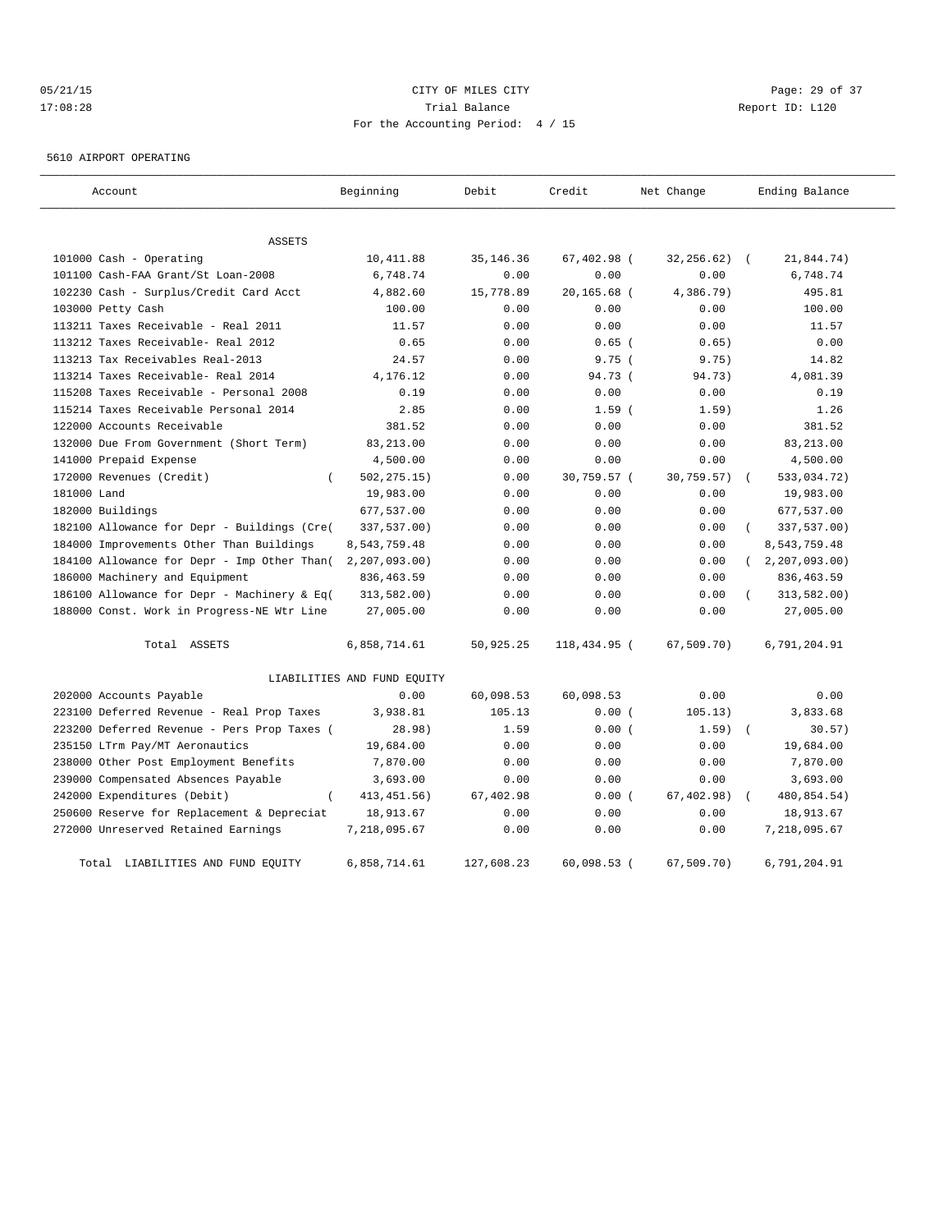# 05/21/15 **Page: 29 of 37** CITY OF MILES CITY **CITY Page: 29 of 37** 17:08:28 Trial Balance Report ID: L120 For the Accounting Period: 4 / 15

5610 AIRPORT OPERATING

| Account                                     | Beginning                   | Debit       | Credit        | Net Change  | Ending Balance |
|---------------------------------------------|-----------------------------|-------------|---------------|-------------|----------------|
| ASSETS                                      |                             |             |               |             |                |
| 101000 Cash - Operating                     | 10,411.88                   | 35, 146. 36 | 67,402.98 (   | 32,256.62)  | 21,844.74)     |
| 101100 Cash-FAA Grant/St Loan-2008          | 6,748.74                    | 0.00        | 0.00          | 0.00        | 6,748.74       |
| 102230 Cash - Surplus/Credit Card Acct      | 4,882.60                    | 15,778.89   | $20.165.68$ ( | 4,386.79)   | 495.81         |
| 103000 Petty Cash                           | 100.00                      | 0.00        | 0.00          | 0.00        | 100.00         |
| 113211 Taxes Receivable - Real 2011         | 11.57                       | 0.00        | 0.00          | 0.00        | 11.57          |
| 113212 Taxes Receivable- Real 2012          | 0.65                        | 0.00        | $0.65$ (      | 0.65)       | 0.00           |
| 113213 Tax Receivables Real-2013            | 24.57                       | 0.00        | 9.75(         | 9.75)       | 14.82          |
| 113214 Taxes Receivable- Real 2014          | 4,176.12                    | 0.00        | 94.73 (       | 94.73)      | 4,081.39       |
| 115208 Taxes Receivable - Personal 2008     | 0.19                        | 0.00        | 0.00          | 0.00        | 0.19           |
| 115214 Taxes Receivable Personal 2014       | 2.85                        | 0.00        | 1.59(         | 1.59)       | 1.26           |
| 122000 Accounts Receivable                  | 381.52                      | 0.00        | 0.00          | 0.00        | 381.52         |
| 132000 Due From Government (Short Term)     | 83, 213.00                  | 0.00        | 0.00          | 0.00        | 83, 213.00     |
| 141000 Prepaid Expense                      | 4,500.00                    | 0.00        | 0.00          | 0.00        | 4,500.00       |
| 172000 Revenues (Credit)<br>$\left($        | 502, 275.15)                | 0.00        | 30,759.57 (   | 30,759.57)  | 533,034.72)    |
| 181000 Land                                 | 19,983.00                   | 0.00        | 0.00          | 0.00        | 19,983.00      |
| 182000 Buildings                            | 677,537.00                  | 0.00        | 0.00          | 0.00        | 677,537.00     |
| 182100 Allowance for Depr - Buildings (Cre( | 337,537.00)                 | 0.00        | 0.00          | 0.00        | 337,537.00)    |
| 184000 Improvements Other Than Buildings    | 8,543,759.48                | 0.00        | 0.00          | 0.00        | 8,543,759.48   |
| 184100 Allowance for Depr - Imp Other Than( | 2, 207, 093.00)             | 0.00        | 0.00          | 0.00        | 2, 207, 093.00 |
| 186000 Machinery and Equipment              | 836, 463.59                 | 0.00        | 0.00          | 0.00        | 836, 463.59    |
| 186100 Allowance for Depr - Machinery & Eq( | 313,582.00)                 | 0.00        | 0.00          | 0.00        | 313,582.00)    |
| 188000 Const. Work in Progress-NE Wtr Line  | 27,005.00                   | 0.00        | 0.00          | 0.00        | 27,005.00      |
| Total ASSETS                                | 6,858,714.61                | 50,925.25   | 118,434.95 (  | 67,509.70)  | 6,791,204.91   |
|                                             | LIABILITIES AND FUND EQUITY |             |               |             |                |
| 202000 Accounts Payable                     | 0.00                        | 60,098.53   | 60,098.53     | 0.00        | 0.00           |
| 223100 Deferred Revenue - Real Prop Taxes   | 3,938.81                    | 105.13      | 0.00(         | 105.13)     | 3,833.68       |
| 223200 Deferred Revenue - Pers Prop Taxes ( | 28.98)                      | 1.59        | 0.00(         | $1.59$ (    | 30.57)         |
| 235150 LTrm Pay/MT Aeronautics              | 19,684.00                   | 0.00        | 0.00          | 0.00        | 19,684.00      |
| 238000 Other Post Employment Benefits       | 7,870.00                    | 0.00        | 0.00          | 0.00        | 7,870.00       |
| 239000 Compensated Absences Payable         | 3,693.00                    | 0.00        | 0.00          | 0.00        | 3,693.00       |
| 242000 Expenditures (Debit)                 | 413, 451.56)                | 67,402.98   | 0.00(         | 67, 402.98) | 480,854.54)    |
| 250600 Reserve for Replacement & Depreciat  | 18,913.67                   | 0.00        | 0.00          | 0.00        | 18,913.67      |
| 272000 Unreserved Retained Earnings         | 7,218,095.67                | 0.00        | 0.00          | 0.00        | 7,218,095.67   |
| Total LIABILITIES AND FUND EQUITY           | 6,858,714.61                | 127,608.23  | $60,098.53$ ( | 67, 509.70  | 6,791,204.91   |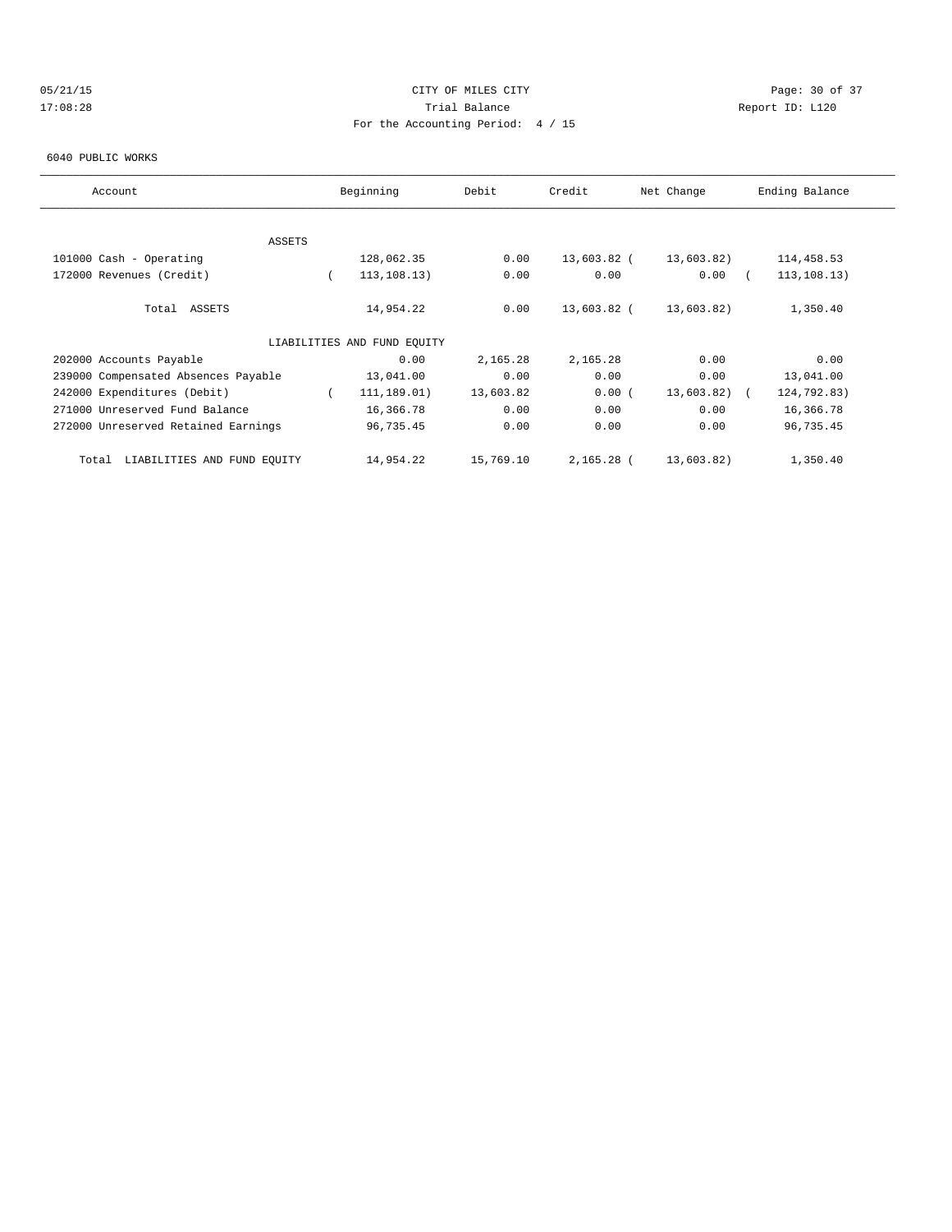# 05/21/15 **Page: 30 of 37** CITY OF MILES CITY **CITY Page: 30 of 37** 17:08:28 Trial Balance Report ID: L120 For the Accounting Period: 4 / 15

#### 6040 PUBLIC WORKS

| Account                              | Beginning                   | Debit     | Credit      | Net Change     | Ending Balance |
|--------------------------------------|-----------------------------|-----------|-------------|----------------|----------------|
|                                      |                             |           |             |                |                |
| <b>ASSETS</b>                        |                             |           |             |                |                |
| 101000 Cash - Operating              | 128,062.35                  | 0.00      | 13,603.82 ( | 13,603.82)     | 114,458.53     |
| 172000 Revenues (Credit)             | 113, 108.13)                | 0.00      | 0.00        | 0.00           | 113, 108.13)   |
| Total ASSETS                         | 14,954.22                   | 0.00      | 13,603.82 ( | 13,603.82)     | 1,350.40       |
|                                      | LIABILITIES AND FUND EQUITY |           |             |                |                |
| 202000 Accounts Payable              | 0.00                        | 2,165.28  | 2,165.28    | 0.00           | 0.00           |
| 239000 Compensated Absences Payable  | 13,041.00                   | 0.00      | 0.00        | 0.00           | 13,041.00      |
| 242000 Expenditures (Debit)          | 111,189.01)                 | 13,603.82 | 0.00(       | $13,603.82)$ ( | 124,792.83)    |
| 271000 Unreserved Fund Balance       | 16,366.78                   | 0.00      | 0.00        | 0.00           | 16,366.78      |
| 272000 Unreserved Retained Earnings  | 96,735.45                   | 0.00      | 0.00        | 0.00           | 96,735.45      |
| LIABILITIES AND FUND EQUITY<br>Total | 14,954.22                   | 15,769.10 | 2,165.28 (  | 13,603.82)     | 1,350.40       |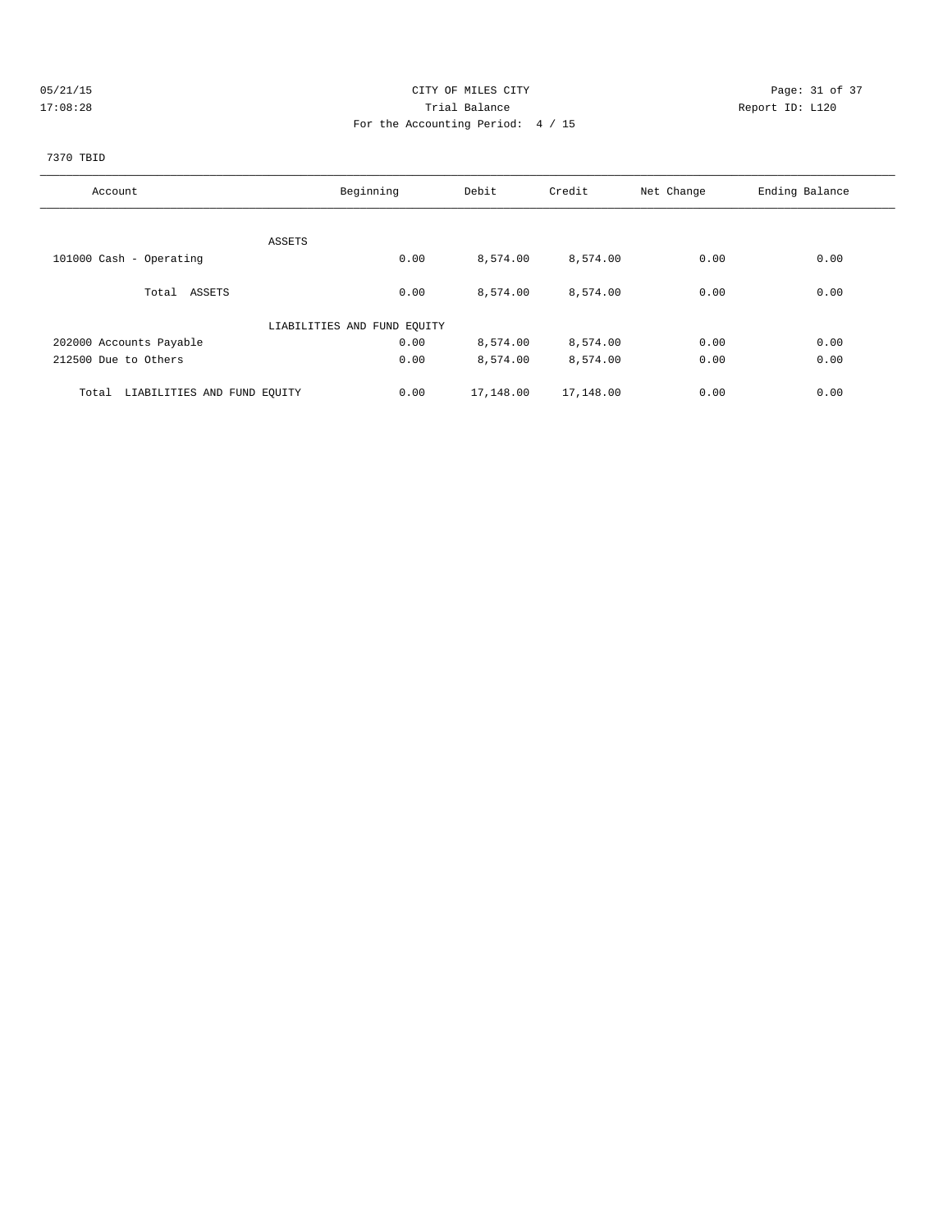# 05/21/15 Page: 31 of 37 17:08:28 Trial Balance Report ID: L120 For the Accounting Period: 4 / 15

# 7370 TBID

| Account                              | Beginning                   | Debit     | Credit    | Net Change | Ending Balance |
|--------------------------------------|-----------------------------|-----------|-----------|------------|----------------|
|                                      |                             |           |           |            |                |
| ASSETS                               |                             |           |           |            |                |
| 101000 Cash - Operating              | 0.00                        | 8,574.00  | 8,574.00  | 0.00       | 0.00           |
| Total ASSETS                         | 0.00                        | 8,574.00  | 8,574.00  | 0.00       | 0.00           |
|                                      |                             |           |           |            |                |
|                                      | LIABILITIES AND FUND EQUITY |           |           |            |                |
| 202000 Accounts Payable              | 0.00                        | 8,574.00  | 8,574.00  | 0.00       | 0.00           |
| 212500 Due to Others                 | 0.00                        | 8,574.00  | 8,574.00  | 0.00       | 0.00           |
| LIABILITIES AND FUND EQUITY<br>Total | 0.00                        | 17,148.00 | 17,148.00 | 0.00       | 0.00           |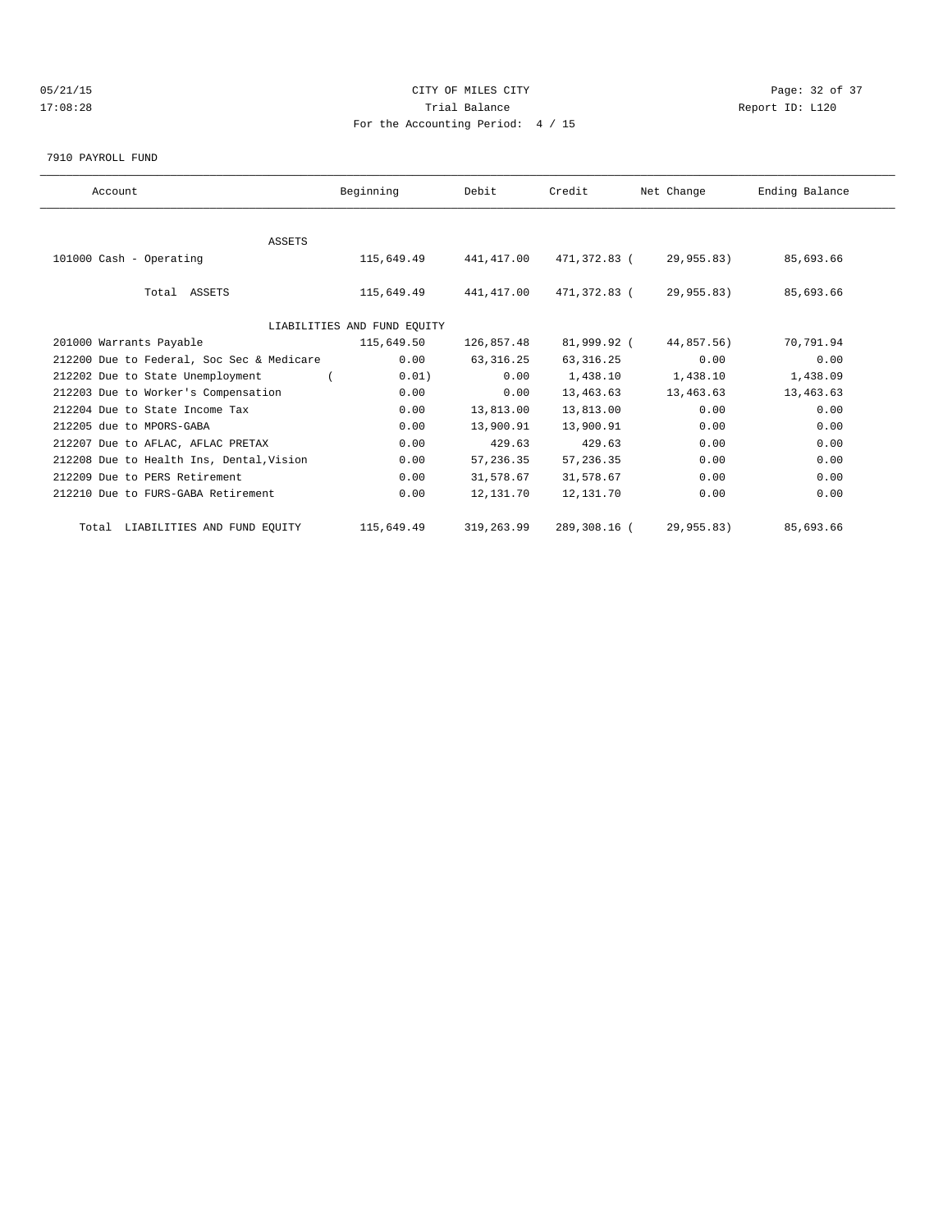# 05/21/15 Page: 32 of 37 17:08:28 Trial Balance Report ID: L120 For the Accounting Period: 4 / 15

7910 PAYROLL FUND

| Account                                        | Beginning                   | Debit      | Credit       | Net Change | Ending Balance |  |
|------------------------------------------------|-----------------------------|------------|--------------|------------|----------------|--|
|                                                |                             |            |              |            |                |  |
| <b>ASSETS</b>                                  |                             |            |              |            |                |  |
| 101000 Cash - Operating                        | 115,649.49 441,417.00       |            | 471,372.83 ( | 29,955.83) | 85,693.66      |  |
|                                                |                             |            |              |            |                |  |
| Total ASSETS                                   | 115,649.49                  | 441,417.00 | 471,372.83 ( | 29,955.83) | 85,693.66      |  |
|                                                |                             |            |              |            |                |  |
|                                                | LIABILITIES AND FUND EQUITY |            |              |            |                |  |
| 201000 Warrants Payable                        | 115,649.50                  | 126,857.48 | 81,999.92 (  | 44,857.56) | 70,791.94      |  |
| 212200 Due to Federal, Soc Sec & Medicare      | 0.00                        | 63, 316.25 | 63, 316.25   | 0.00       | 0.00           |  |
| 212202 Due to State Unemployment<br>$\sqrt{2}$ | 0.01)                       | 0.00       | 1,438.10     | 1,438.10   | 1,438.09       |  |
| 212203 Due to Worker's Compensation            | 0.00                        | 0.00       | 13,463.63    | 13,463.63  | 13,463.63      |  |
| 212204 Due to State Income Tax                 | 0.00                        | 13,813.00  | 13,813.00    | 0.00       | 0.00           |  |
| 212205 due to MPORS-GABA                       | 0.00                        | 13,900.91  | 13,900.91    | 0.00       | 0.00           |  |
| 212207 Due to AFLAC, AFLAC PRETAX              | 0.00                        | 429.63     | 429.63       | 0.00       | 0.00           |  |
| 212208 Due to Health Ins, Dental, Vision       | 0.00                        | 57,236.35  | 57, 236.35   | 0.00       | 0.00           |  |
| 212209 Due to PERS Retirement                  | 0.00                        | 31,578.67  | 31,578.67    | 0.00       | 0.00           |  |
| 212210 Due to FURS-GABA Retirement             | 0.00                        | 12,131.70  | 12,131.70    | 0.00       | 0.00           |  |
| Total LIABILITIES AND FUND EQUITY              | 115,649.49                  | 319,263.99 | 289,308.16 ( | 29,955.83) | 85,693.66      |  |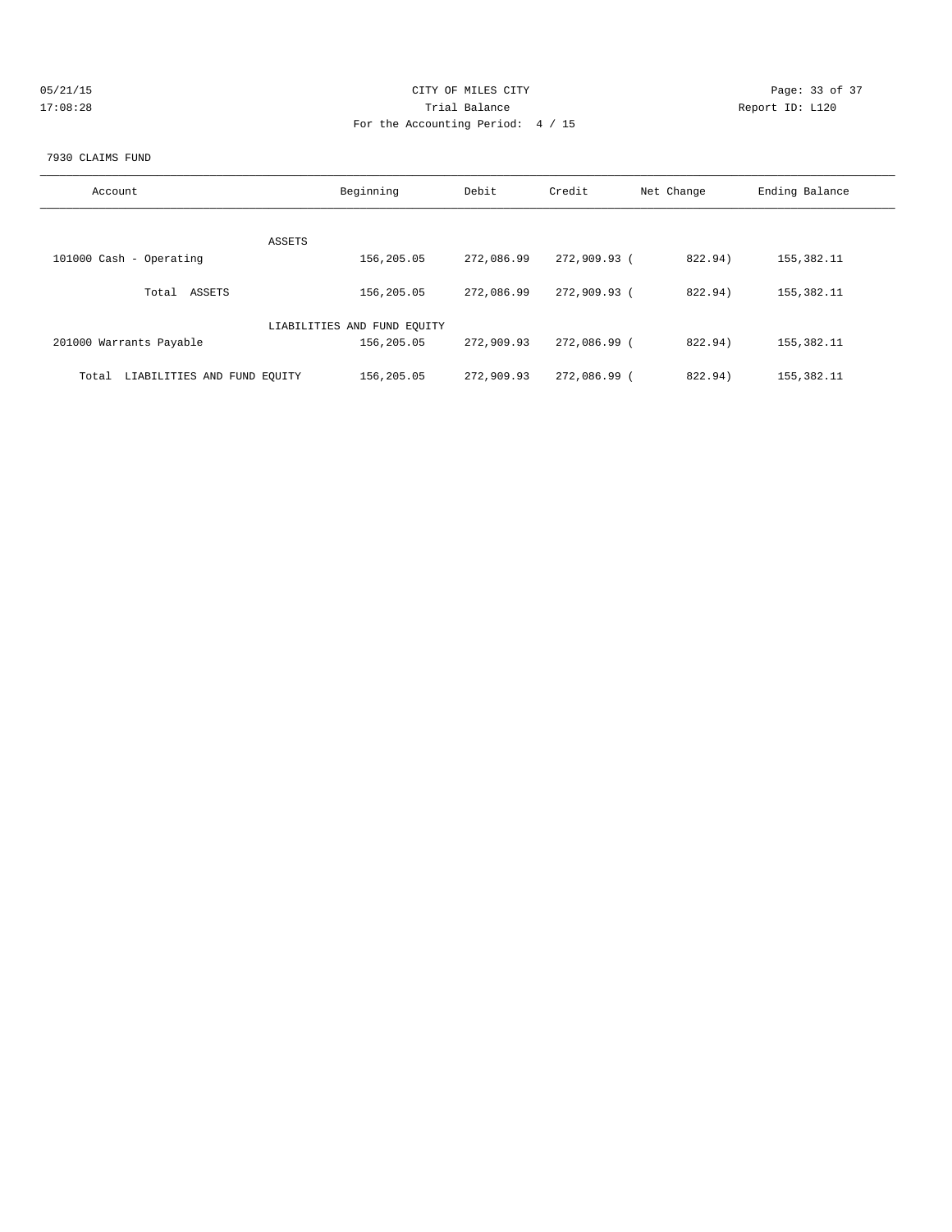| 05/21/15 |  |
|----------|--|
| 17:08:28 |  |

# CITY OF MILES CITY CONTROL CONTROL CITY CONTROL PAGE: 33 of 37 17:08:28 Report ID: L120 For the Accounting Period: 4 / 15

### 7930 CLAIMS FUND

| Account                              | Beginning                   | Debit      | Credit       | Net Change | Ending Balance |
|--------------------------------------|-----------------------------|------------|--------------|------------|----------------|
| ASSETS                               |                             |            |              |            |                |
| 101000 Cash - Operating              | 156,205.05                  | 272,086.99 | 272,909.93 ( | 822.94)    | 155,382.11     |
| Total ASSETS                         | 156,205.05                  | 272,086.99 | 272,909.93 ( | 822.94)    | 155,382.11     |
|                                      | LIABILITIES AND FUND EQUITY |            |              |            |                |
| 201000 Warrants Payable              | 156,205.05                  | 272,909.93 | 272,086.99 ( | 822.94)    | 155,382.11     |
| LIABILITIES AND FUND EOUITY<br>Total | 156,205.05                  | 272,909.93 | 272,086.99 ( | 822.94)    | 155, 382. 11   |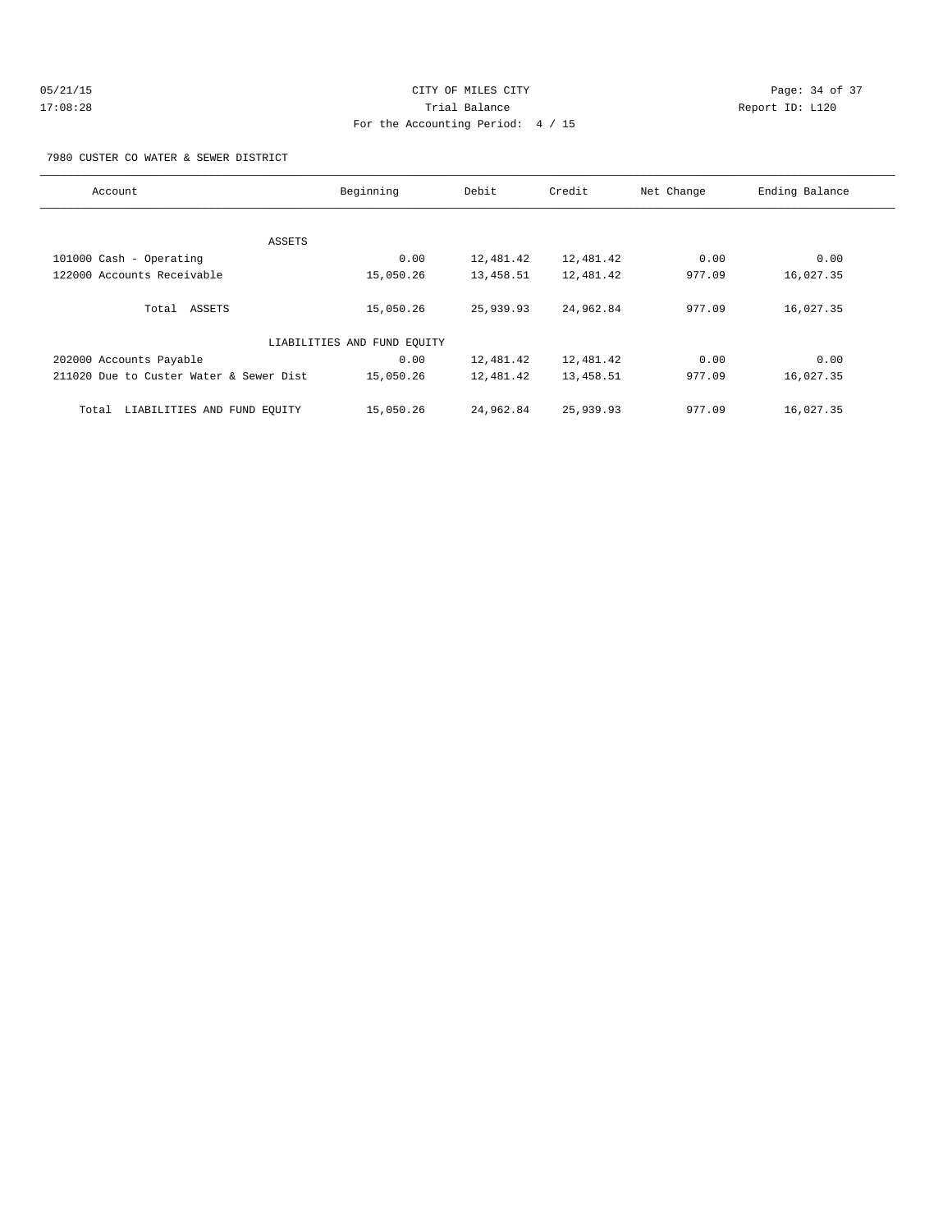# 05/21/15 Page: 34 of 37 17:08:28 Trial Balance Report ID: L120 For the Accounting Period: 4 / 15

7980 CUSTER CO WATER & SEWER DISTRICT

| Account                                 | Beginning                   | Debit     | Credit    | Net Change | Ending Balance |
|-----------------------------------------|-----------------------------|-----------|-----------|------------|----------------|
|                                         |                             |           |           |            |                |
| ASSETS                                  |                             |           |           |            |                |
| 101000 Cash - Operating                 | 0.00                        | 12,481.42 | 12,481.42 | 0.00       | 0.00           |
| 122000 Accounts Receivable              | 15,050.26                   | 13,458.51 | 12,481.42 | 977.09     | 16,027.35      |
| Total ASSETS                            | 15,050.26                   | 25,939.93 | 24,962.84 | 977.09     | 16,027.35      |
|                                         | LIABILITIES AND FUND EQUITY |           |           |            |                |
| 202000 Accounts Payable                 | 0.00                        | 12,481.42 | 12,481.42 | 0.00       | 0.00           |
| 211020 Due to Custer Water & Sewer Dist | 15,050.26                   | 12,481.42 | 13,458.51 | 977.09     | 16,027.35      |
| LIABILITIES AND FUND EQUITY<br>Total    | 15,050.26                   | 24,962.84 | 25,939.93 | 977.09     | 16,027.35      |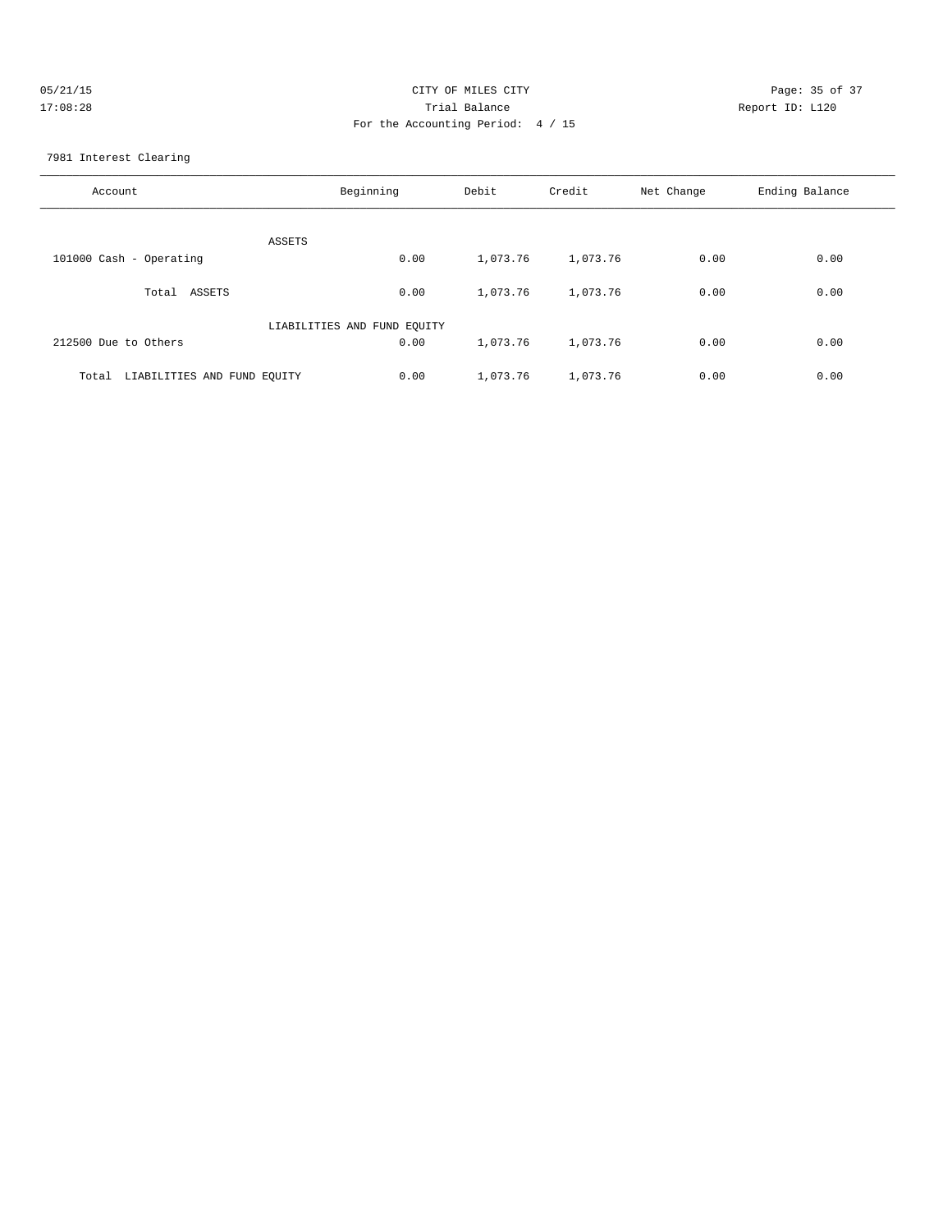| 05/21/15 | CITY OF MILES CITY                  | Page: 35 of 37  |
|----------|-------------------------------------|-----------------|
| 17:08:28 | Trial Balance                       | Report ID: L120 |
|          | For the Accounting Period: $4 / 15$ |                 |

7981 Interest Clearing

| Account                              | Beginning                   | Debit    | Credit   | Net Change | Ending Balance |
|--------------------------------------|-----------------------------|----------|----------|------------|----------------|
| ASSETS                               |                             |          |          |            |                |
| 101000 Cash - Operating              | 0.00                        | 1,073.76 | 1,073.76 | 0.00       | 0.00           |
| ASSETS<br>Total                      | 0.00                        | 1,073.76 | 1,073.76 | 0.00       | 0.00           |
|                                      | LIABILITIES AND FUND EQUITY |          |          |            |                |
| 212500 Due to Others                 | 0.00                        | 1,073.76 | 1,073.76 | 0.00       | 0.00           |
| LIABILITIES AND FUND EQUITY<br>Total | 0.00                        | 1,073.76 | 1,073.76 | 0.00       | 0.00           |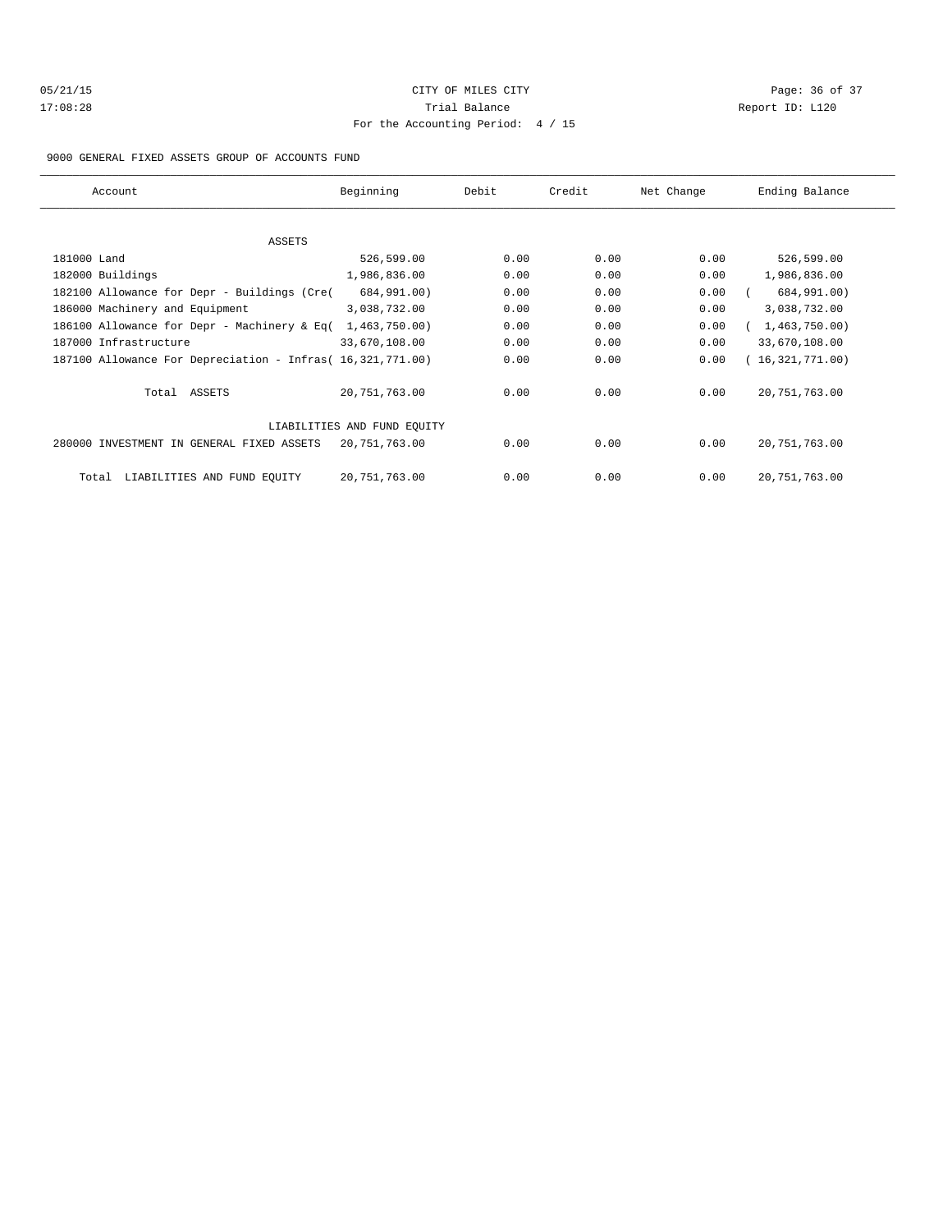# 05/21/15 **Page: 36 of 37** CITY OF MILES CITY **CITY Page: 36 of 37** 17:08:28 Trial Balance Report ID: L120 For the Accounting Period: 4 / 15

9000 GENERAL FIXED ASSETS GROUP OF ACCOUNTS FUND

| Account                                                    | Beginning                   | Debit | Credit | Net Change | Ending Balance  |
|------------------------------------------------------------|-----------------------------|-------|--------|------------|-----------------|
|                                                            |                             |       |        |            |                 |
| <b>ASSETS</b>                                              |                             |       |        |            |                 |
| 181000 Land                                                | 526,599.00                  | 0.00  | 0.00   | 0.00       | 526,599.00      |
| 182000 Buildings                                           | 1,986,836.00                | 0.00  | 0.00   | 0.00       | 1,986,836.00    |
| 182100 Allowance for Depr - Buildings (Cre(                | 684,991.00)                 | 0.00  | 0.00   | 0.00       | 684,991.00)     |
| 186000 Machinery and Equipment                             | 3,038,732.00                | 0.00  | 0.00   | 0.00       | 3,038,732.00    |
| 186100 Allowance for Depr - Machinery & Eq(                | 1,463,750.00)               | 0.00  | 0.00   | 0.00       | 1,463,750.00    |
| 187000 Infrastructure                                      | 33,670,108.00               | 0.00  | 0.00   | 0.00       | 33,670,108.00   |
| 187100 Allowance For Depreciation - Infras( 16,321,771.00) |                             | 0.00  | 0.00   | 0.00       | 16,321,771.00   |
| Total ASSETS                                               | 20,751,763.00               | 0.00  | 0.00   | 0.00       | 20, 751, 763.00 |
|                                                            | LIABILITIES AND FUND EOUITY |       |        |            |                 |
| 280000 INVESTMENT IN GENERAL FIXED ASSETS                  | 20,751,763.00               | 0.00  | 0.00   | 0.00       | 20, 751, 763.00 |
| LIABILITIES AND FUND EQUITY<br>Total                       | 20,751,763.00               | 0.00  | 0.00   | 0.00       | 20, 751, 763.00 |